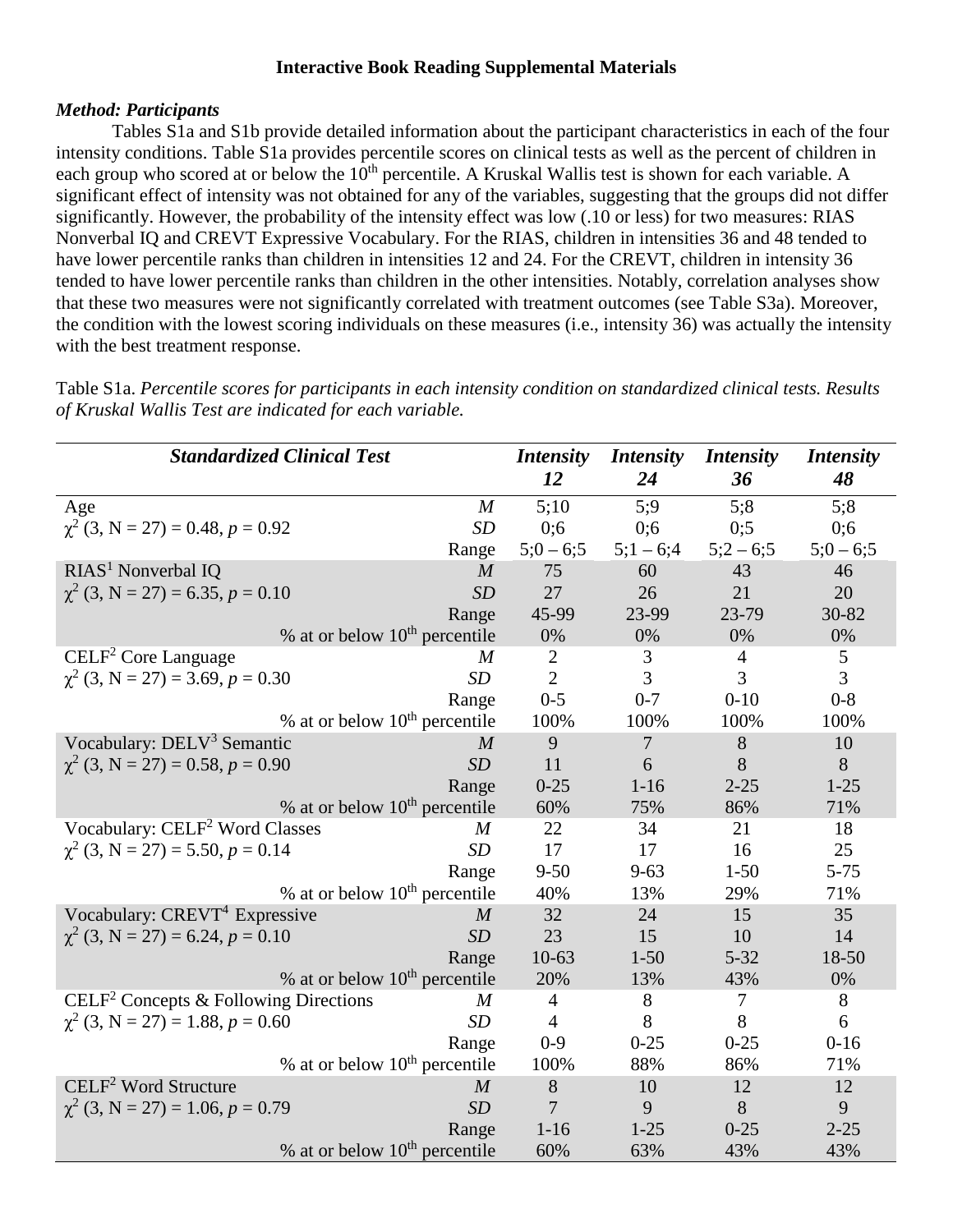### **Interactive Book Reading Supplemental Materials**

#### *Method: Participants*

Tables S1a and S1b provide detailed information about the participant characteristics in each of the four intensity conditions. Table S1a provides percentile scores on clinical tests as well as the percent of children in each group who scored at or below the 10<sup>th</sup> percentile. A Kruskal Wallis test is shown for each variable. A significant effect of intensity was not obtained for any of the variables, suggesting that the groups did not differ significantly. However, the probability of the intensity effect was low (.10 or less) for two measures: RIAS Nonverbal IQ and CREVT Expressive Vocabulary. For the RIAS, children in intensities 36 and 48 tended to have lower percentile ranks than children in intensities 12 and 24. For the CREVT, children in intensity 36 tended to have lower percentile ranks than children in the other intensities. Notably, correlation analyses show that these two measures were not significantly correlated with treatment outcomes (see Table S3a). Moreover, the condition with the lowest scoring individuals on these measures (i.e., intensity 36) was actually the intensity with the best treatment response.

Table S1a. *Percentile scores for participants in each intensity condition on standardized clinical tests. Results of Kruskal Wallis Test are indicated for each variable.*

| <b>Standardized Clinical Test</b>                                     | <b>Intensity</b> | <b>Intensity</b> | <i>Intensity</i> | <i>Intensity</i> |
|-----------------------------------------------------------------------|------------------|------------------|------------------|------------------|
|                                                                       | 12               | 24               | 36               | 48               |
| $\boldsymbol{M}$<br>Age                                               | 5:10             | 5:9              | 5:8              | 5:8              |
| $\chi^2$ (3, N = 27) = 0.48, p = 0.92<br><b>SD</b>                    | 0:6              | 0;6              | 0:5              | 0;6              |
| Range                                                                 | $5:0-6:5$        | $5;1-6;4$        | $5;2-6;5$        | $5:0-6:5$        |
| $RIAS1$ Nonverbal IQ<br>$\boldsymbol{M}$                              | 75               | 60               | 43               | 46               |
| $\chi^2$ (3, N = 27) = 6.35, p = 0.10<br>SD                           | 27               | 26               | 21               | 20               |
| Range                                                                 | 45-99            | 23-99            | 23-79            | 30-82            |
| % at or below $10th$ percentile                                       | 0%               | 0%               | 0%               | 0%               |
| $CELF2$ Core Language<br>M                                            | $\overline{2}$   | 3                | $\overline{4}$   | 5                |
| $\chi^2$ (3, N = 27) = 3.69, p = 0.30<br>SD                           | $\overline{2}$   | 3                | 3                | $\overline{3}$   |
| Range                                                                 | $0 - 5$          | $0 - 7$          | $0 - 10$         | $0 - 8$          |
| % at or below $10th$ percentile                                       | 100%             | 100%             | 100%             | 100%             |
| Vocabulary: DELV <sup>3</sup> Semantic<br>$\overline{M}$              | 9                | $\overline{7}$   | 8                | 10               |
| $\chi^2$ (3, N = 27) = 0.58, p = 0.90<br>SD                           | 11               | 6                | 8                | 8                |
| Range                                                                 | $0 - 25$         | $1 - 16$         | $2 - 25$         | $1 - 25$         |
| % at or below $10^{th}$ percentile                                    | 60%              | 75%              | 86%              | 71%              |
| Vocabulary: CELF <sup>2</sup> Word Classes<br>M                       | 22               | 34               | 21               | 18               |
| $\chi^2$ (3, N = 27) = 5.50, p = 0.14<br>SD                           | 17               | 17               | 16               | 25               |
| Range                                                                 | $9 - 50$         | $9 - 63$         | $1 - 50$         | $5 - 75$         |
| % at or below $10th$ percentile                                       | 40%              | 13%              | 29%              | 71%              |
| Vocabulary: CREVT <sup>4</sup> Expressive<br>$\boldsymbol{M}$         | 32               | 24               | 15               | 35               |
| $\chi^2$ (3, N = 27) = 6.24, p = 0.10<br>SD                           | 23               | 15               | 10               | 14               |
| Range                                                                 | $10-63$          | $1 - 50$         | $5 - 32$         | 18-50            |
| % at or below $10th$ percentile                                       | 20%              | 13%              | 43%              | 0%               |
| CELF <sup>2</sup> Concepts & Following Directions<br>$\boldsymbol{M}$ | $\overline{4}$   | 8                | $\tau$           | 8                |
| $\chi^2$ (3, N = 27) = 1.88, p = 0.60<br>SD                           | $\overline{4}$   | 8                | 8                | 6                |
| Range                                                                 | $0-9$            | $0 - 25$         | $0 - 25$         | $0 - 16$         |
| % at or below $10th$ percentile                                       | 100%             | 88%              | 86%              | 71%              |
| $\text{CELF}^2$ Word Structure<br>$\overline{M}$                      | 8                | 10               | 12               | 12               |
| $\chi^2$ (3, N = 27) = 1.06, p = 0.79<br>SD                           | 7                | 9                | 8                | 9                |
| Range                                                                 | $1 - 16$         | $1 - 25$         | $0 - 25$         | $2 - 25$         |
| % at or below $10th$ percentile                                       | 60%              | 63%              | 43%              | 43%              |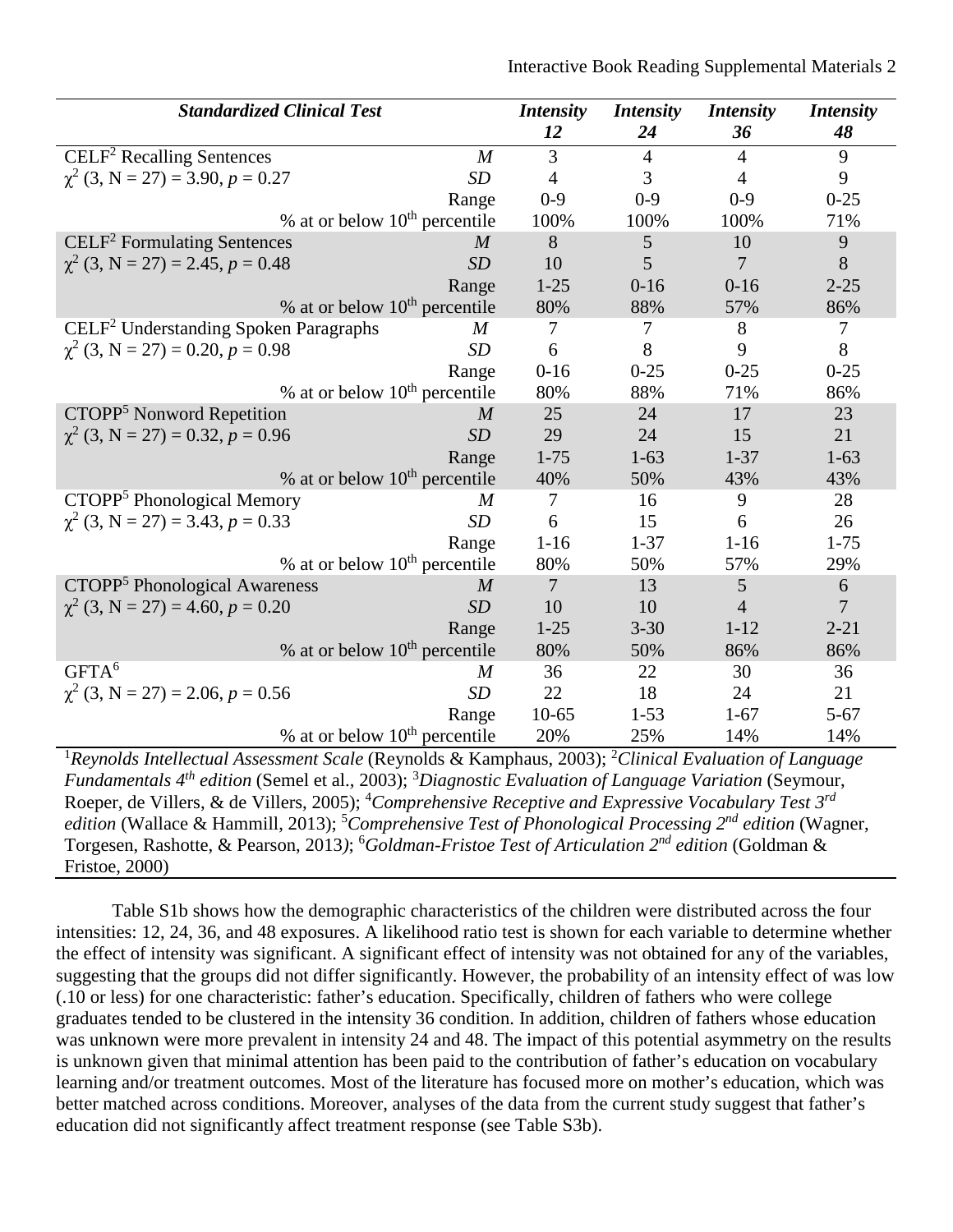| <b>Standardized Clinical Test</b>                 |                  | <b>Intensity</b> | <b>Intensity</b> | <b>Intensity</b> | <b>Intensity</b> |
|---------------------------------------------------|------------------|------------------|------------------|------------------|------------------|
|                                                   |                  | 12               | 24               | 36               | 48               |
| $\text{CELF}^2$ Recalling Sentences               | $\boldsymbol{M}$ | 3                | $\overline{4}$   | $\overline{4}$   | 9                |
| $\chi^2$ (3, N = 27) = 3.90, p = 0.27             | <b>SD</b>        | 4                | 3                | $\overline{4}$   | 9                |
|                                                   | Range            | $0-9$            | $0 - 9$          | $0 - 9$          | $0 - 25$         |
| % at or below $10th$ percentile                   |                  | 100%             | 100%             | 100%             | 71%              |
| $ELE2$ Formulating Sentences                      | $\overline{M}$   | 8                | 5                | 10               | 9                |
| $\chi^2$ (3, N = 27) = 2.45, p = 0.48             | SD               | 10               | 5                | 7                | 8                |
|                                                   | Range            | $1 - 25$         | $0-16$           | $0 - 16$         | $2 - 25$         |
| % at or below $10^{th}$ percentile                |                  | 80%              | 88%              | 57%              | 86%              |
| CELF <sup>2</sup> Understanding Spoken Paragraphs | $\boldsymbol{M}$ | 7                | 7                | 8                | 7                |
| $\chi^2$ (3, N = 27) = 0.20, p = 0.98             | SD               | 6                | 8                | 9                | 8                |
|                                                   | Range            | $0 - 16$         | $0 - 25$         | $0 - 25$         | $0 - 25$         |
| % at or below $10th$ percentile                   |                  | 80%              | 88%              | 71%              | 86%              |
| CTOPP <sup>5</sup> Nonword Repetition             | $\overline{M}$   | 25               | 24               | 17               | 23               |
| $\chi^2$ (3, N = 27) = 0.32, p = 0.96             | SD               | 29               | 24               | 15               | 21               |
|                                                   | Range            | $1 - 75$         | $1 - 63$         | $1 - 37$         | $1 - 63$         |
| % at or below $10th$ percentile                   |                  | 40%              | 50%              | 43%              | 43%              |
| CTOPP <sup>5</sup> Phonological Memory            | M                | 7                | 16               | 9                | 28               |
| $\chi^2$ (3, N = 27) = 3.43, p = 0.33             | SD               | 6                | 15               | 6                | 26               |
|                                                   | Range            | $1-16$           | $1 - 37$         | $1 - 16$         | $1 - 75$         |
| % at or below $10th$ percentile                   |                  | 80%              | 50%              | 57%              | 29%              |
| CTOPP <sup>5</sup> Phonological Awareness         | M                | 7                | 13               | 5                | $\boldsymbol{6}$ |
| $\chi^2$ (3, N = 27) = 4.60, p = 0.20             | SD               | 10               | 10               | 4                | $\overline{7}$   |
|                                                   | Range            | $1 - 25$         | $3 - 30$         | $1 - 12$         | $2 - 21$         |
| % at or below $10th$ percentile                   |                  | 80%              | 50%              | 86%              | 86%              |
| GFTA <sup>6</sup>                                 | $\overline{M}$   | 36               | 22               | 30               | 36               |
| $\chi^2$ (3, N = 27) = 2.06, p = 0.56             | SD               | 22               | 18               | 24               | 21               |
|                                                   | Range            | $10-65$          | $1 - 53$         | $1-67$           | $5 - 67$         |
| % at or below $10th$ percentile                   |                  | 20%              | 25%              | 14%              | 14%              |

<sup>1</sup> Reynolds Intellectual Assessment Scale (Reynolds & Kamphaus, 2003); <sup>2</sup>Clinical Evaluation of Language *Fundamentals 4th edition* (Semel et al., 2003); <sup>3</sup> *Diagnostic Evaluation of Language Variation* (Seymour, Roeper, de Villers, & de Villers, 2005); <sup>4</sup> *Comprehensive Receptive and Expressive Vocabulary Test 3rd* edition (Wallace & Hammill, 2013); <sup>5</sup>Comprehensive Test of Phonological Processing 2<sup>nd</sup> edition (Wagner, Torgesen, Rashotte, & Pearson, 2013*)*; 6 *Goldman-Fristoe Test of Articulation 2nd edition* (Goldman & Fristoe, 2000)

Table S1b shows how the demographic characteristics of the children were distributed across the four intensities: 12, 24, 36, and 48 exposures. A likelihood ratio test is shown for each variable to determine whether the effect of intensity was significant. A significant effect of intensity was not obtained for any of the variables, suggesting that the groups did not differ significantly. However, the probability of an intensity effect of was low (.10 or less) for one characteristic: father's education. Specifically, children of fathers who were college graduates tended to be clustered in the intensity 36 condition. In addition, children of fathers whose education was unknown were more prevalent in intensity 24 and 48. The impact of this potential asymmetry on the results is unknown given that minimal attention has been paid to the contribution of father's education on vocabulary learning and/or treatment outcomes. Most of the literature has focused more on mother's education, which was better matched across conditions. Moreover, analyses of the data from the current study suggest that father's education did not significantly affect treatment response (see Table S3b).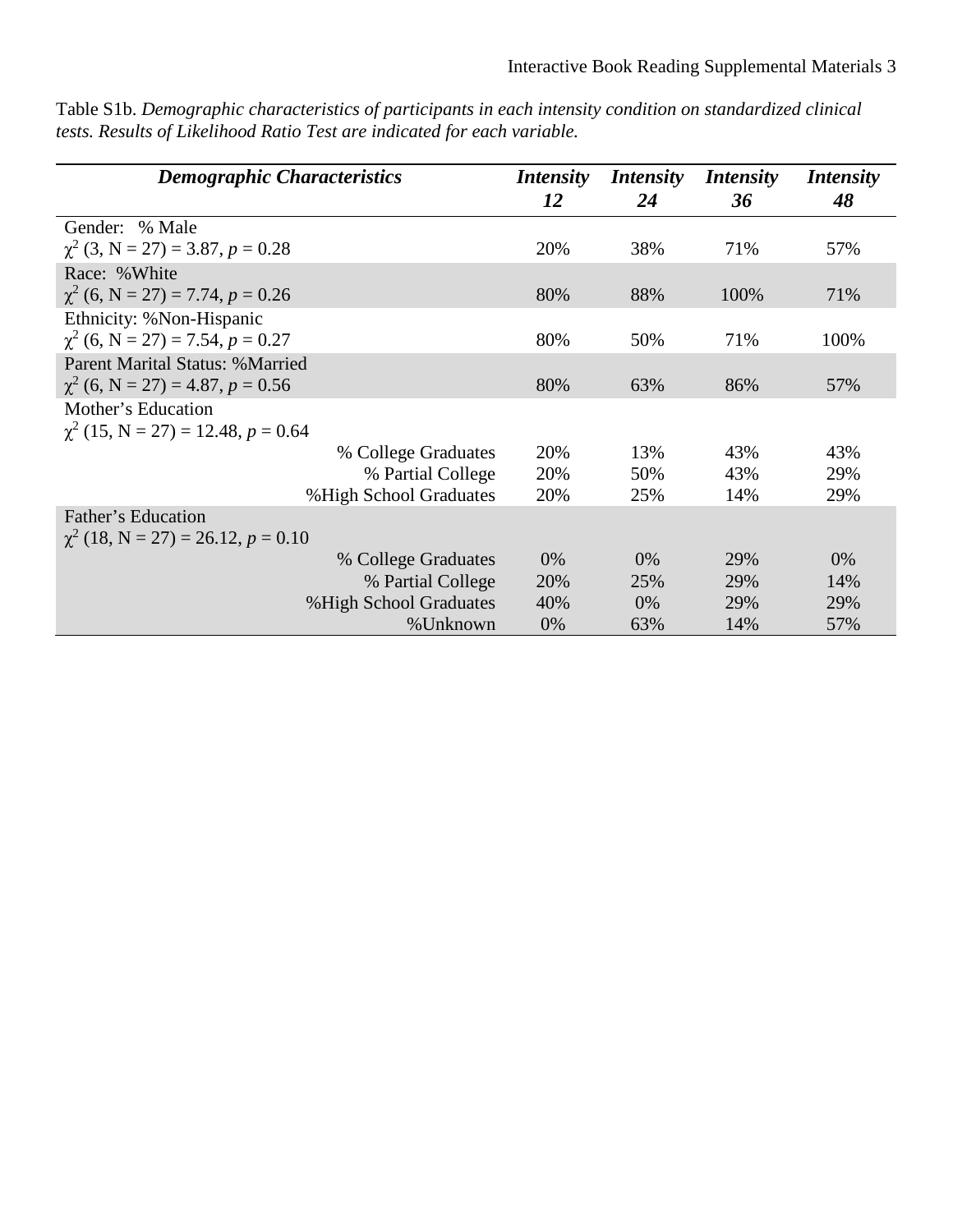| <b>Demographic Characteristics</b>      | <i>Intensity</i><br>12 | <i>Intensity</i><br>24 | <i>Intensity</i><br>36 | <i>Intensity</i><br>48 |
|-----------------------------------------|------------------------|------------------------|------------------------|------------------------|
| Gender: % Male                          |                        |                        |                        |                        |
| $\chi^2$ (3, N = 27) = 3.87, p = 0.28   | 20%                    | 38%                    | 71%                    | 57%                    |
| Race: %White                            |                        |                        |                        |                        |
| $\chi^2$ (6, N = 27) = 7.74, p = 0.26   | 80%                    | 88%                    | 100%                   | 71%                    |
| Ethnicity: %Non-Hispanic                |                        |                        |                        |                        |
| $\chi^2$ (6, N = 27) = 7.54, p = 0.27   | 80%                    | 50%                    | 71%                    | 100%                   |
| <b>Parent Marital Status: % Married</b> |                        |                        |                        |                        |
| $\chi^2$ (6, N = 27) = 4.87, p = 0.56   | 80%                    | 63%                    | 86%                    | 57%                    |
| Mother's Education                      |                        |                        |                        |                        |
| $\chi^2$ (15, N = 27) = 12.48, p = 0.64 |                        |                        |                        |                        |
| % College Graduates                     | 20%                    | 13%                    | 43%                    | 43%                    |
| % Partial College                       | 20%                    | 50%                    | 43%                    | 29%                    |
| %High School Graduates                  | 20%                    | 25%                    | 14%                    | 29%                    |
| Father's Education                      |                        |                        |                        |                        |
| $\chi^2$ (18, N = 27) = 26.12, p = 0.10 |                        |                        |                        |                        |
| % College Graduates                     | $0\%$                  | $0\%$                  | 29%                    | $0\%$                  |
| % Partial College                       | 20%                    | 25%                    | 29%                    | 14%                    |
| %High School Graduates                  | 40%                    | $0\%$                  | 29%                    | 29%                    |
| %Unknown                                | $0\%$                  | 63%                    | 14%                    | 57%                    |

Table S1b. *Demographic characteristics of participants in each intensity condition on standardized clinical tests. Results of Likelihood Ratio Test are indicated for each variable.*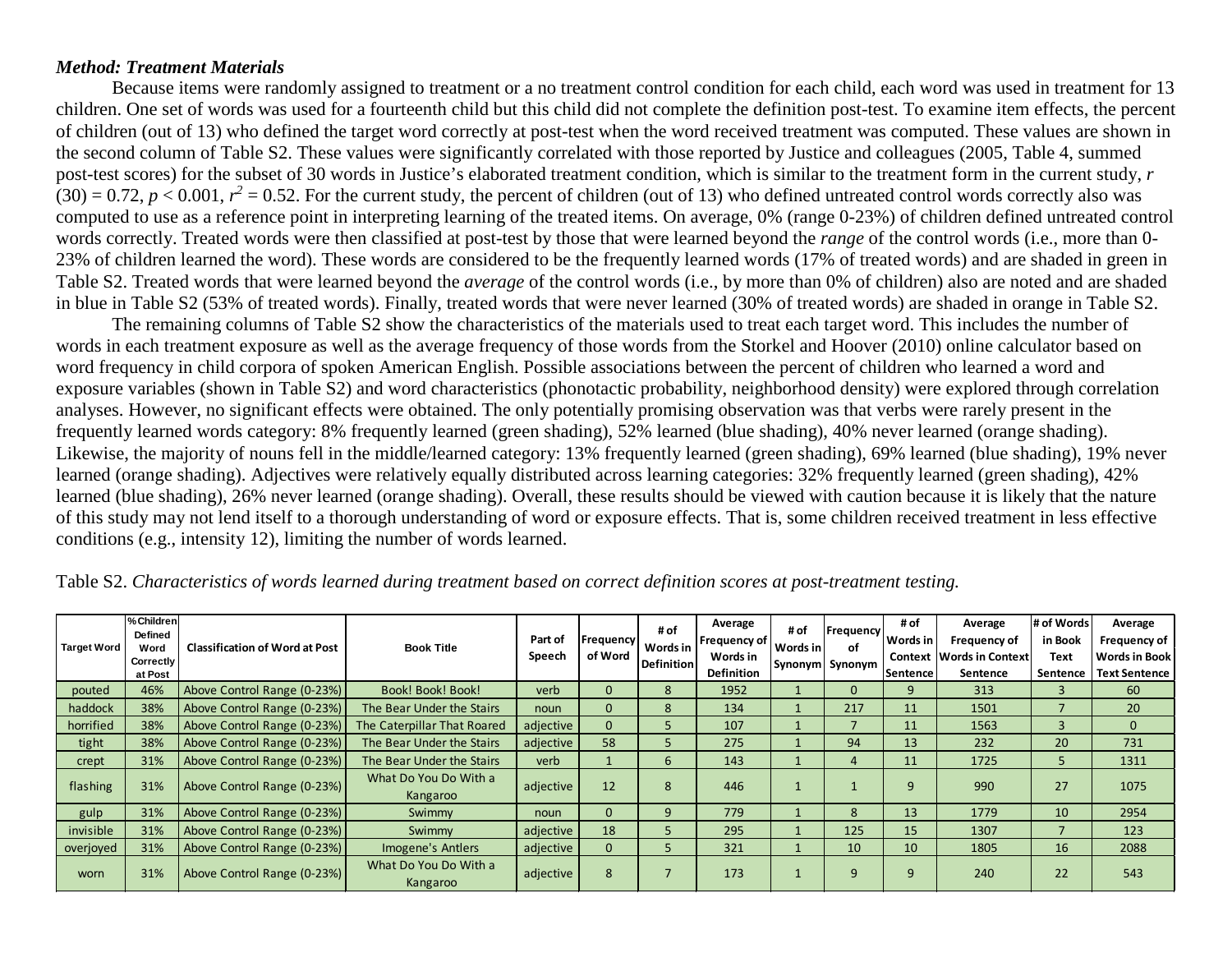### *Method: Treatment Materials*

Because items were randomly assigned to treatment or a no treatment control condition for each child, each word was used in treatment for 13 children. One set of words was used for a fourteenth child but this child did not complete the definition post-test. To examine item effects, the percent of children (out of 13) who defined the target word correctly at post-test when the word received treatment was computed. These values are shown in the second column of Table S2. These values were significantly correlated with those reported by Justice and colleagues (2005, Table 4, summed post-test scores) for the subset of 30 words in Justice's elaborated treatment condition, which is similar to the treatment form in the current study, *r*  $(30) = 0.72$ ,  $p < 0.001$ ,  $r^2 = 0.52$ . For the current study, the percent of children (out of 13) who defined untreated control words correctly also was computed to use as a reference point in interpreting learning of the treated items. On average, 0% (range 0-23%) of children defined untreated control words correctly. Treated words were then classified at post-test by those that were learned beyond the *range* of the control words (i.e., more than 0- 23% of children learned the word). These words are considered to be the frequently learned words (17% of treated words) and are shaded in green in Table S2. Treated words that were learned beyond the *average* of the control words (i.e., by more than 0% of children) also are noted and are shaded in blue in Table S2 (53% of treated words). Finally, treated words that were never learned (30% of treated words) are shaded in orange in Table S2.

The remaining columns of Table S2 show the characteristics of the materials used to treat each target word. This includes the number of words in each treatment exposure as well as the average frequency of those words from the Storkel and Hoover (2010) online calculator based on word frequency in child corpora of spoken American English. Possible associations between the percent of children who learned a word and exposure variables (shown in Table S2) and word characteristics (phonotactic probability, neighborhood density) were explored through correlation analyses. However, no significant effects were obtained. The only potentially promising observation was that verbs were rarely present in the frequently learned words category: 8% frequently learned (green shading), 52% learned (blue shading), 40% never learned (orange shading). Likewise, the majority of nouns fell in the middle/learned category: 13% frequently learned (green shading), 69% learned (blue shading), 19% never learned (orange shading). Adjectives were relatively equally distributed across learning categories: 32% frequently learned (green shading), 42% learned (blue shading), 26% never learned (orange shading). Overall, these results should be viewed with caution because it is likely that the nature of this study may not lend itself to a thorough understanding of word or exposure effects. That is, some children received treatment in less effective conditions (e.g., intensity 12), limiting the number of words learned.

| <b>Target Word</b> | % Children<br>Defined<br>Word<br>Correctly<br>at Post | <b>Classification of Word at Post</b> | <b>Book Title</b>                 | Part of<br>Speech | Frequency<br>of Word | # of<br>Words in<br>Definition | Average<br> Frequency of  <br>Words in<br><b>Definition</b> | # of<br>Words in | Frequency<br>οf<br>Synonym Synonym | # of<br>Words in<br>Context<br><b>Sentence</b> | Average<br>Frequency of<br><b>Words in Context</b><br>Sentence | l# of Words<br>in Book<br>Text<br>Sentence | Average<br>Frequency of<br><b>Words in Book</b><br><b>Text Sentence</b> |
|--------------------|-------------------------------------------------------|---------------------------------------|-----------------------------------|-------------------|----------------------|--------------------------------|-------------------------------------------------------------|------------------|------------------------------------|------------------------------------------------|----------------------------------------------------------------|--------------------------------------------|-------------------------------------------------------------------------|
| pouted             | 46%                                                   | Above Control Range (0-23%)           | Book! Book! Book!<br>verb         |                   |                      |                                | 1952                                                        |                  |                                    |                                                | 313                                                            |                                            | 60                                                                      |
| haddock            | 38%                                                   | Above Control Range (0-23%)           | The Bear Under the Stairs         | noun              | $\Omega$             |                                | 134                                                         |                  | 217                                | 11                                             | 1501                                                           |                                            | 20                                                                      |
| horrified          | 38%                                                   | Above Control Range (0-23%)           | The Caterpillar That Roared       | adjective         | 0                    |                                | 107                                                         |                  |                                    | 11                                             | 1563                                                           |                                            | $\Omega$                                                                |
| tight              | 38%                                                   | Above Control Range (0-23%)           | The Bear Under the Stairs         | adjective         | 58                   |                                | 275                                                         |                  | 94                                 | 13                                             | 232                                                            | 20                                         | 731                                                                     |
| crept              | 31%                                                   | Above Control Range (0-23%)           | The Bear Under the Stairs         | verb              |                      | 6                              | 143                                                         |                  |                                    | 11                                             | 1725                                                           |                                            | 1311                                                                    |
| flashing           | 31%                                                   | Above Control Range (0-23%)           | What Do You Do With a<br>Kangaroo | adjective         | 12                   | 8                              | 446                                                         |                  |                                    | 9                                              | 990                                                            | 27                                         | 1075                                                                    |
| gulp               | 31%                                                   | Above Control Range (0-23%)           | Swimmy                            | noun              | $\Omega$             |                                | 779                                                         |                  |                                    | 13                                             | 1779                                                           | 10                                         | 2954                                                                    |
| invisible          | 31%                                                   | Above Control Range (0-23%)           | Swimmy                            | adjective         | 18                   |                                | 295                                                         |                  | 125                                | 15                                             | 1307                                                           |                                            | 123                                                                     |
| overjoyed          | 31%                                                   | Above Control Range (0-23%)           | Imogene's Antlers                 | adjective         | 0                    |                                | 321                                                         |                  | 10                                 | 10                                             | 1805                                                           | 16                                         | 2088                                                                    |
| worn               | 31%                                                   | Above Control Range (0-23%)           | What Do You Do With a<br>Kangaroo | adjective         | 8                    |                                | 173                                                         |                  |                                    | ٩                                              | 240                                                            | 22                                         | 543                                                                     |

Table S2. *Characteristics of words learned during treatment based on correct definition scores at post-treatment testing.*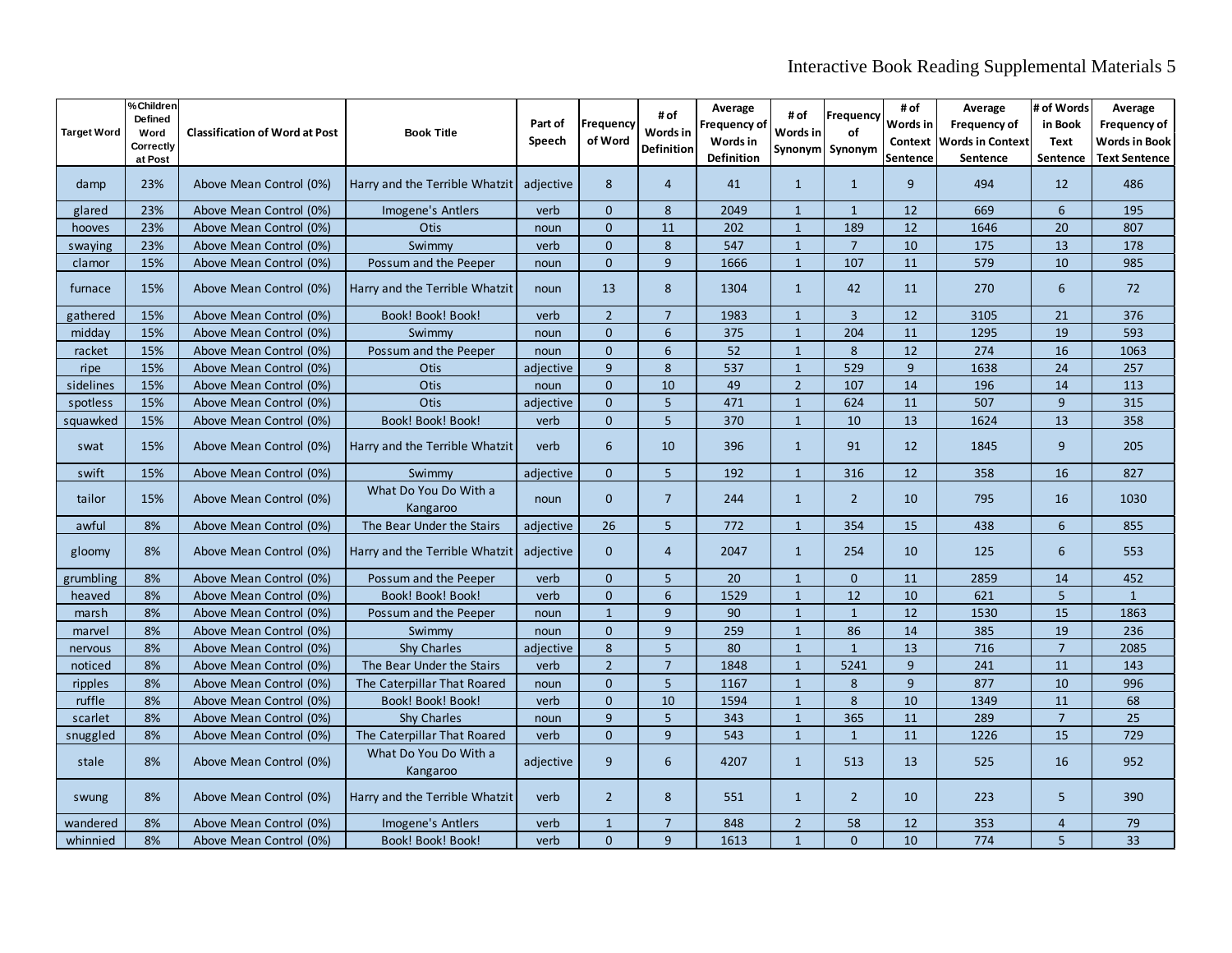# Interactive Book Reading Supplemental Materials 5

| <b>Target Word</b> | % Children<br><b>Defined</b><br>Word<br>Correctly<br>at Post | <b>Classification of Word at Post</b> | <b>Book Title</b>                 | Part of<br>Speech | <b>Frequency</b><br>of Word | # of<br>Words in<br><b>Definition</b> | Average<br><b>Frequency of</b><br>Words in<br>Definition | # of<br>Words in<br>Synonym | Frequency<br>οf<br>Synonym | # of<br>Words in<br>Sentence | Average<br><b>Frequency of</b><br>Context Words in Context<br>Sentence | # of Words<br>in Book<br><b>Text</b><br>Sentence | Average<br>Frequency of<br>Words in Book<br><b>Text Sentence</b> |
|--------------------|--------------------------------------------------------------|---------------------------------------|-----------------------------------|-------------------|-----------------------------|---------------------------------------|----------------------------------------------------------|-----------------------------|----------------------------|------------------------------|------------------------------------------------------------------------|--------------------------------------------------|------------------------------------------------------------------|
| damp               | 23%                                                          | Above Mean Control (0%)               | Harry and the Terrible Whatzit    | adjective         | 8                           | $\overline{4}$                        | 41                                                       | $\mathbf{1}$                | $\mathbf{1}$               | 9                            | 494                                                                    | 12                                               | 486                                                              |
| glared             | 23%                                                          | Above Mean Control (0%)               | Imogene's Antlers                 | verb              | $\Omega$                    | 8                                     | 2049                                                     | $\mathbf{1}$                | $\mathbf{1}$               | 12                           | 669                                                                    | 6                                                | 195                                                              |
| hooves             | 23%                                                          | Above Mean Control (0%)               | <b>Otis</b>                       | noun              | $\Omega$                    | 11                                    | 202                                                      | $\mathbf{1}$                | 189                        | 12                           | 1646                                                                   | 20                                               | 807                                                              |
| swaying            | 23%                                                          | Above Mean Control (0%)               | Swimmy                            | verb              | $\Omega$                    | 8                                     | 547                                                      | $\mathbf{1}$                | $\overline{7}$             | 10                           | 175                                                                    | 13                                               | 178                                                              |
| clamor             | 15%                                                          | Above Mean Control (0%)               | Possum and the Peeper             | noun              | $\mathbf{0}$                | 9                                     | 1666                                                     | $\mathbf{1}$                | 107                        | 11                           | 579                                                                    | 10                                               | 985                                                              |
| furnace            | 15%                                                          | Above Mean Control (0%)               | Harry and the Terrible Whatzit    | noun              | 13                          | 8                                     | 1304                                                     | $\mathbf{1}$                | 42                         | 11                           | 270                                                                    | 6                                                | 72                                                               |
| gathered           | 15%                                                          | Above Mean Control (0%)               | Book! Book! Book!                 | verb              | $\overline{2}$              | $\overline{7}$                        | 1983                                                     | $\mathbf{1}$                | $\overline{3}$             | 12                           | 3105                                                                   | 21                                               | 376                                                              |
| midday             | 15%                                                          | Above Mean Control (0%)               | Swimmy                            | noun              | $\Omega$                    | 6                                     | 375                                                      | $\mathbf{1}$                | 204                        | 11                           | 1295                                                                   | 19                                               | 593                                                              |
| racket             | 15%                                                          | Above Mean Control (0%)               | Possum and the Peeper             | noun              | $\mathbf{0}$                | 6                                     | 52                                                       | $\mathbf{1}$                | 8                          | 12                           | 274                                                                    | 16                                               | 1063                                                             |
| ripe               | 15%                                                          | Above Mean Control (0%)               | <b>Otis</b>                       | adjective         | 9                           | 8                                     | 537                                                      | $\mathbf{1}$                | 529                        | 9                            | 1638                                                                   | 24                                               | 257                                                              |
| sidelines          | 15%                                                          | Above Mean Control (0%)               | Otis                              | noun              | $\Omega$                    | 10                                    | 49                                                       | $\overline{2}$              | 107                        | 14                           | 196                                                                    | 14                                               | 113                                                              |
| spotless           | 15%                                                          | Above Mean Control (0%)               | <b>Otis</b>                       | adjective         | $\Omega$                    | 5                                     | 471                                                      | $\mathbf{1}$                | 624                        | 11                           | 507                                                                    | 9                                                | 315                                                              |
| squawked           | 15%                                                          | Above Mean Control (0%)               | Book! Book! Book!                 | verb              | $\Omega$                    | 5                                     | 370                                                      | $\mathbf{1}$                | 10                         | 13                           | 1624                                                                   | 13                                               | 358                                                              |
| swat               | 15%                                                          | Above Mean Control (0%)               | Harry and the Terrible Whatzit    | verb              | 6                           | 10                                    | 396                                                      | $\mathbf{1}$                | 91                         | 12                           | 1845                                                                   | 9                                                | 205                                                              |
| swift              | 15%                                                          | Above Mean Control (0%)               | Swimmy                            | adjective         | $\mathbf{0}$                | 5                                     | 192                                                      | $\mathbf{1}$                | 316                        | 12                           | 358                                                                    | 16                                               | 827                                                              |
| tailor             | 15%                                                          | Above Mean Control (0%)               | What Do You Do With a<br>Kangaroo | noun              | $\Omega$                    | $\overline{7}$                        | 244                                                      | $\mathbf{1}$                | $\overline{2}$             | 10                           | 795                                                                    | 16                                               | 1030                                                             |
| awful              | 8%                                                           | Above Mean Control (0%)               | The Bear Under the Stairs         | adjective         | 26                          | 5                                     | 772                                                      | $\mathbf{1}$                | 354                        | 15                           | 438                                                                    | 6                                                | 855                                                              |
| gloomy             | 8%                                                           | Above Mean Control (0%)               | Harry and the Terrible Whatzit    | adjective         | $\mathbf{0}$                | $\overline{4}$                        | 2047                                                     | $\mathbf{1}$                | 254                        | 10                           | 125                                                                    | 6                                                | 553                                                              |
| grumbling          | 8%                                                           | Above Mean Control (0%)               | Possum and the Peeper             | verb              | $\Omega$                    | 5                                     | 20                                                       | $\mathbf{1}$                | $\Omega$                   | 11                           | 2859                                                                   | 14                                               | 452                                                              |
| heaved             | 8%                                                           | Above Mean Control (0%)               | Book! Book! Book!                 | verb              | $\mathbf{0}$                | 6                                     | 1529                                                     | $\mathbf{1}$                | 12                         | 10                           | 621                                                                    | 5                                                | $\mathbf{1}$                                                     |
| marsh              | 8%                                                           | Above Mean Control (0%)               | Possum and the Peeper             | noun              | $\mathbf{1}$                | 9                                     | 90                                                       | $\mathbf{1}$                | $\mathbf{1}$               | 12                           | 1530                                                                   | 15                                               | 1863                                                             |
| marvel             | 8%                                                           | Above Mean Control (0%)               | Swimmy                            | noun              | $\Omega$                    | 9                                     | 259                                                      | $\mathbf{1}$                | 86                         | 14                           | 385                                                                    | 19                                               | 236                                                              |
| nervous            | 8%                                                           | Above Mean Control (0%)               | Shy Charles                       | adjective         | 8                           | 5                                     | 80                                                       | $\mathbf{1}$                | $\mathbf{1}$               | 13                           | 716                                                                    | $\overline{7}$                                   | 2085                                                             |
| noticed            | 8%                                                           | Above Mean Control (0%)               | The Bear Under the Stairs         | verb              | $\overline{2}$              | $\overline{7}$                        | 1848                                                     | $\mathbf{1}$                | 5241                       | 9                            | 241                                                                    | 11                                               | 143                                                              |
| ripples            | 8%                                                           | Above Mean Control (0%)               | The Caterpillar That Roared       | noun              | $\mathbf{0}$                | 5                                     | 1167                                                     | $\mathbf{1}$                | 8                          | 9                            | 877                                                                    | 10                                               | 996                                                              |
| ruffle             | 8%                                                           | Above Mean Control (0%)               | Book! Book! Book!                 | verb              | $\Omega$                    | 10                                    | 1594                                                     | $\mathbf{1}$                | 8                          | 10                           | 1349                                                                   | 11                                               | 68                                                               |
| scarlet            | 8%                                                           | Above Mean Control (0%)               | <b>Shy Charles</b>                | noun              | 9                           | 5                                     | 343                                                      | $\mathbf{1}$                | 365                        | 11                           | 289                                                                    | $\overline{7}$                                   | 25                                                               |
| snuggled           | 8%                                                           | Above Mean Control (0%)               | The Caterpillar That Roared       | verb              | $\mathbf{0}$                | 9                                     | 543                                                      | $\mathbf{1}$                | $\mathbf{1}$               | 11                           | 1226                                                                   | 15                                               | 729                                                              |
| stale              | 8%                                                           | Above Mean Control (0%)               | What Do You Do With a<br>Kangaroo | adjective         | 9                           | 6                                     | 4207                                                     | $\mathbf{1}$                | 513                        | 13                           | 525                                                                    | 16                                               | 952                                                              |
| swung              | 8%                                                           | Above Mean Control (0%)               | Harry and the Terrible Whatzit    | verb              | $\overline{2}$              | 8                                     | 551                                                      | $\mathbf{1}$                | $\overline{2}$             | 10                           | 223                                                                    | 5                                                | 390                                                              |
| wandered           | 8%                                                           | Above Mean Control (0%)               | Imogene's Antlers                 | verb              | $\mathbf{1}$                | $\overline{7}$                        | 848                                                      | $\overline{2}$              | 58                         | 12                           | 353                                                                    | $\overline{4}$                                   | 79                                                               |
| whinnied           | 8%                                                           | Above Mean Control (0%)               | Book! Book! Book!                 | verb              | $\mathbf{0}$                | 9                                     | 1613                                                     | $\mathbf{1}$                | $\Omega$                   | 10                           | 774                                                                    | 5                                                | 33                                                               |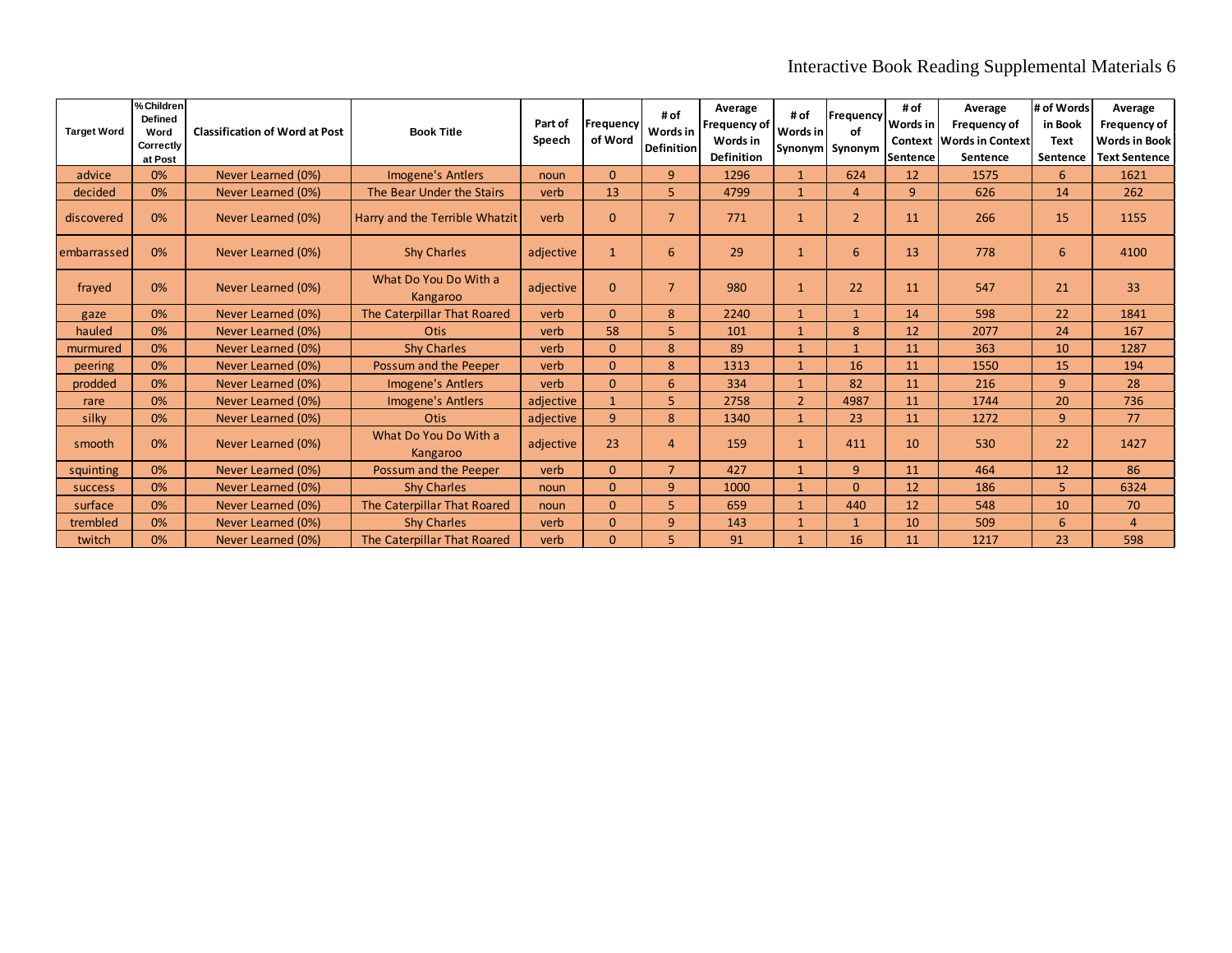# Interactive Book Reading Supplemental Materials 6

| <b>Target Word</b> | % Children<br>Defined<br>Word<br>Correctly<br>at Post | <b>Classification of Word at Post</b> | <b>Book Title</b>                 | Part of<br>Speech | Frequency<br>of Word | # of<br>Words in<br><b>Definition</b> | Average<br>Frequency of<br>Words in<br><b>Definition</b> | # of<br>Words in | Frequency<br>οf<br>Synonym Synonym | # of<br>Words in<br>lSentence | Average<br>Frequency of<br><b>Context Words in Context</b><br>Sentence | # of Words<br>in Book<br><b>Text</b><br>Sentence | Average<br>Frequency of<br><b>Words in Book</b><br><b>Text Sentence</b> |
|--------------------|-------------------------------------------------------|---------------------------------------|-----------------------------------|-------------------|----------------------|---------------------------------------|----------------------------------------------------------|------------------|------------------------------------|-------------------------------|------------------------------------------------------------------------|--------------------------------------------------|-------------------------------------------------------------------------|
| advice             | 0%                                                    | Never Learned (0%)                    | <b>Imogene's Antlers</b>          | noun              | $\Omega$             | 9                                     | 1296                                                     |                  | 624                                | 12                            | 1575                                                                   | 6                                                | 1621                                                                    |
| decided            | 0%                                                    | Never Learned (0%)                    | The Bear Under the Stairs         | verb              | 13                   | 5.                                    | 4799                                                     | $\mathbf{1}$     | $\overline{4}$                     | $\overline{9}$                | 626                                                                    | 14                                               | 262                                                                     |
| discovered         | 0%                                                    | Never Learned (0%)                    | Harry and the Terrible Whatzit    | verb              | $\Omega$             | $\overline{7}$                        | 771                                                      | $\mathbf{1}$     | $\overline{2}$                     | 11                            | 266                                                                    | 15                                               | 1155                                                                    |
| lembarrassed       | 0%                                                    | Never Learned (0%)                    | <b>Shy Charles</b>                | adjective         | $\mathbf{1}$         | 6                                     | 29                                                       | $\mathbf{1}$     | 6                                  | 13                            | 778                                                                    | 6                                                | 4100                                                                    |
| frayed             | 0%                                                    | Never Learned (0%)                    | What Do You Do With a<br>Kangaroo | adjective         | $\Omega$             | $\overline{7}$                        | 980                                                      | 1                | 22                                 | 11                            | 547                                                                    | 21                                               | 33                                                                      |
| gaze               | 0%                                                    | Never Learned (0%)                    | The Caterpillar That Roared       | verb              | $\Omega$             | 8                                     | 2240                                                     | $\mathbf{1}$     | $\mathbf{1}$                       | 14                            | 598                                                                    | 22                                               | 1841                                                                    |
| hauled             | 0%                                                    | Never Learned (0%)                    | Otis                              | verb              | 58                   | 5.                                    | 101                                                      | $\mathbf{1}$     | 8                                  | 12                            | 2077                                                                   | 24                                               | 167                                                                     |
| murmured           | 0%                                                    | Never Learned (0%)                    | <b>Shy Charles</b>                | verb              | $\Omega$             | 8                                     | 89                                                       | $\overline{1}$   | $\mathbf{1}$                       | 11                            | 363                                                                    | 10                                               | 1287                                                                    |
| peering            | 0%                                                    | Never Learned (0%)                    | Possum and the Peeper             | verb              | $\Omega$             | 8                                     | 1313                                                     | $\mathbf 1$      | 16                                 | 11                            | 1550                                                                   | 15                                               | 194                                                                     |
| prodded            | 0%                                                    | Never Learned (0%)                    | <b>Imogene's Antlers</b>          | verb              | $\Omega$             | 6                                     | 334                                                      | $\overline{1}$   | 82                                 | 11                            | 216                                                                    | $\overline{9}$                                   | 28                                                                      |
| rare               | 0%                                                    | Never Learned (0%)                    | Imogene's Antlers                 | adjective         | $\mathbf{1}$         | 5                                     | 2758                                                     | $\overline{2}$   | 4987                               | 11                            | 1744                                                                   | 20                                               | 736                                                                     |
| silky              | 0%                                                    | Never Learned (0%)                    | <b>Otis</b>                       | adjective         | 9                    | 8                                     | 1340                                                     | $\mathbf{1}$     | 23                                 | 11                            | 1272                                                                   | 9                                                | 77                                                                      |
| smooth             | 0%                                                    | Never Learned (0%)                    | What Do You Do With a<br>Kangaroo | adjective         | 23                   | 4                                     | 159                                                      | $\mathbf{1}$     | 411                                | 10                            | 530                                                                    | 22                                               | 1427                                                                    |
| squinting          | 0%                                                    | Never Learned (0%)                    | Possum and the Peeper             | verb              | $\Omega$             | $\overline{7}$                        | 427                                                      | $\mathbf{1}$     | 9                                  | 11                            | 464                                                                    | 12                                               | 86                                                                      |
| <b>SUCCESS</b>     | 0%                                                    | Never Learned (0%)                    | <b>Shy Charles</b>                | noun              | $\Omega$             | 9                                     | 1000                                                     | $\mathbf 1$      | $\Omega$                           | 12                            | 186                                                                    | 5                                                | 6324                                                                    |
| surface            | 0%                                                    | Never Learned (0%)                    | The Caterpillar That Roared       | noun              | $\Omega$             | 5.                                    | 659                                                      | $\overline{1}$   | 440                                | 12                            | 548                                                                    | 10                                               | 70                                                                      |
| trembled           | 0%                                                    | Never Learned (0%)                    | <b>Shy Charles</b>                | verb              | $\Omega$             | 9                                     | 143                                                      | 1                | $\mathbf{1}$                       | 10                            | 509                                                                    | 6                                                | $\overline{4}$                                                          |
| twitch             | 0%                                                    | Never Learned (0%)                    | The Caterpillar That Roared       | verb              | $\Omega$             | 5                                     | 91                                                       |                  | 16                                 | 11                            | 1217                                                                   | 23                                               | 598                                                                     |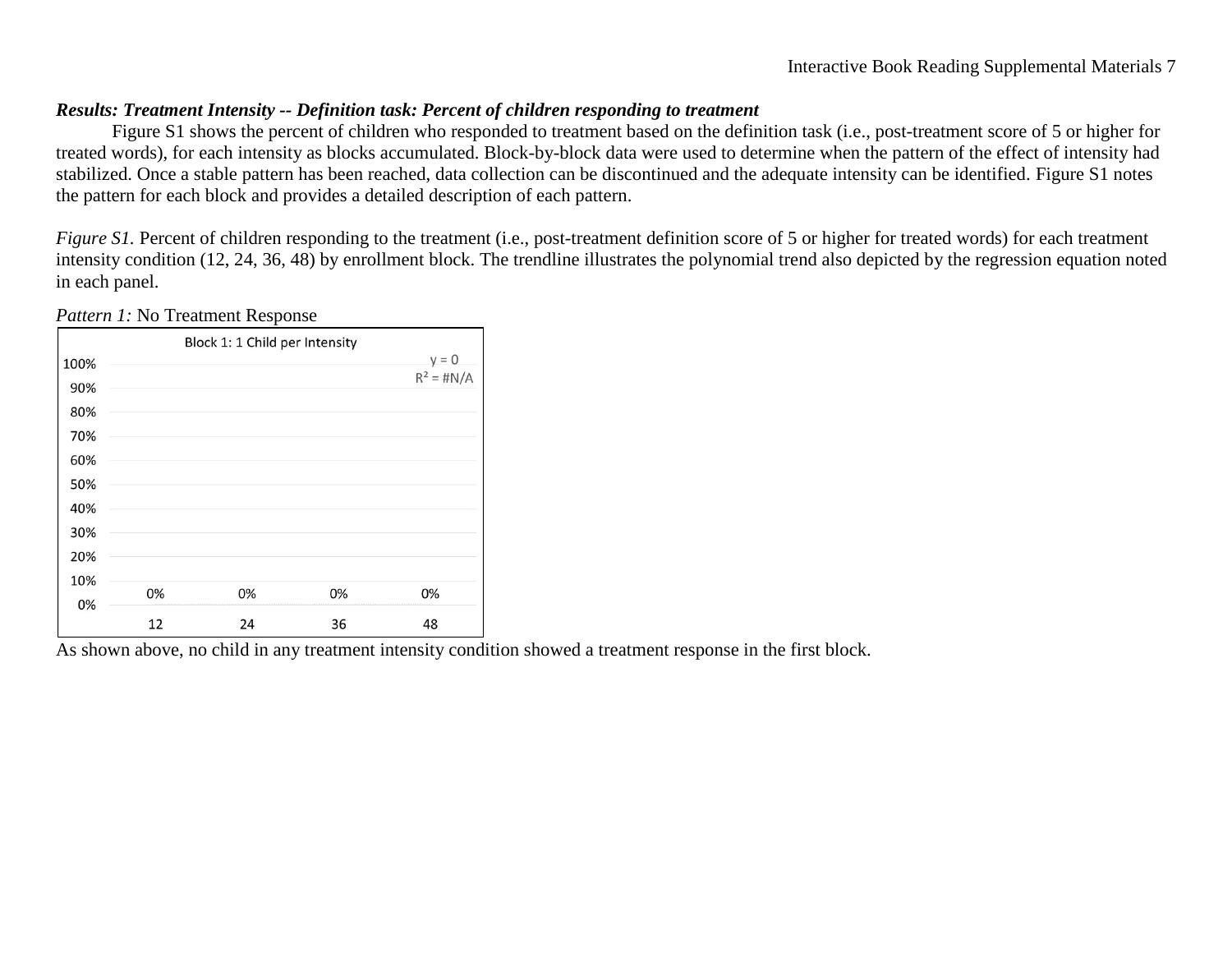## *Results: Treatment Intensity -- Definition task: Percent of children responding to treatment*

Figure S1 shows the percent of children who responded to treatment based on the definition task (i.e., post-treatment score of 5 or higher for treated words), for each intensity as blocks accumulated. Block-by-block data were used to determine when the pattern of the effect of intensity had stabilized. Once a stable pattern has been reached, data collection can be discontinued and the adequate intensity can be identified. Figure S1 notes the pattern for each block and provides a detailed description of each pattern.

*Figure S1*. Percent of children responding to the treatment (i.e., post-treatment definition score of 5 or higher for treated words) for each treatment intensity condition (12, 24, 36, 48) by enrollment block. The trendline illustrates the polynomial trend also depicted by the regression equation noted in each panel.

|      |    | Block 1: 1 Child per Intensity |    |              |
|------|----|--------------------------------|----|--------------|
| 100% |    |                                |    | $y = 0$      |
| 90%  |    |                                |    | $R^2 = #N/A$ |
| 80%  |    |                                |    |              |
| 70%  |    |                                |    |              |
| 60%  |    |                                |    |              |
| 50%  |    |                                |    |              |
| 40%  |    |                                |    |              |
| 30%  |    |                                |    |              |
| 20%  |    |                                |    |              |
| 10%  |    |                                |    |              |
| 0%   | 0% | 0%                             | 0% | 0%           |
|      | 12 | 24                             | 36 | 48           |

*Pattern 1:* No Treatment Response

As shown above, no child in any treatment intensity condition showed a treatment response in the first block.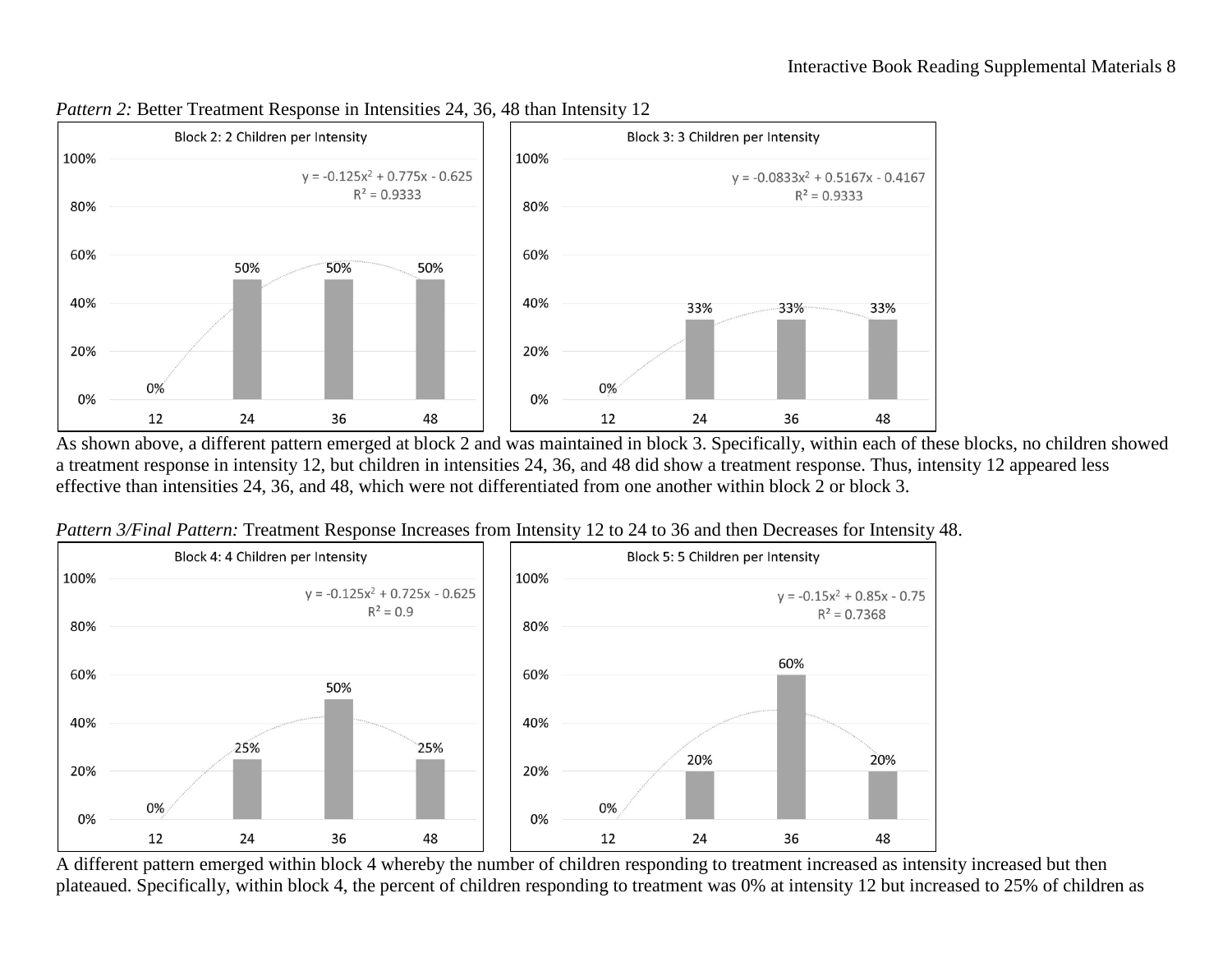

### *Pattern 2:* Better Treatment Response in Intensities 24, 36, 48 than Intensity 12

a treatment response in intensity 12, but children in intensities 24, 36, and 48 did show a treatment response. Thus, intensity 12 appeared less effective than intensities 24, 36, and 48, which were not differentiated from one another within block 2 or block 3.



*Pattern 3/Final Pattern:* Treatment Response Increases from Intensity 12 to 24 to 36 and then Decreases for Intensity 48.

plateaued. Specifically, within block 4, the percent of children responding to treatment was 0% at intensity 12 but increased to 25% of children as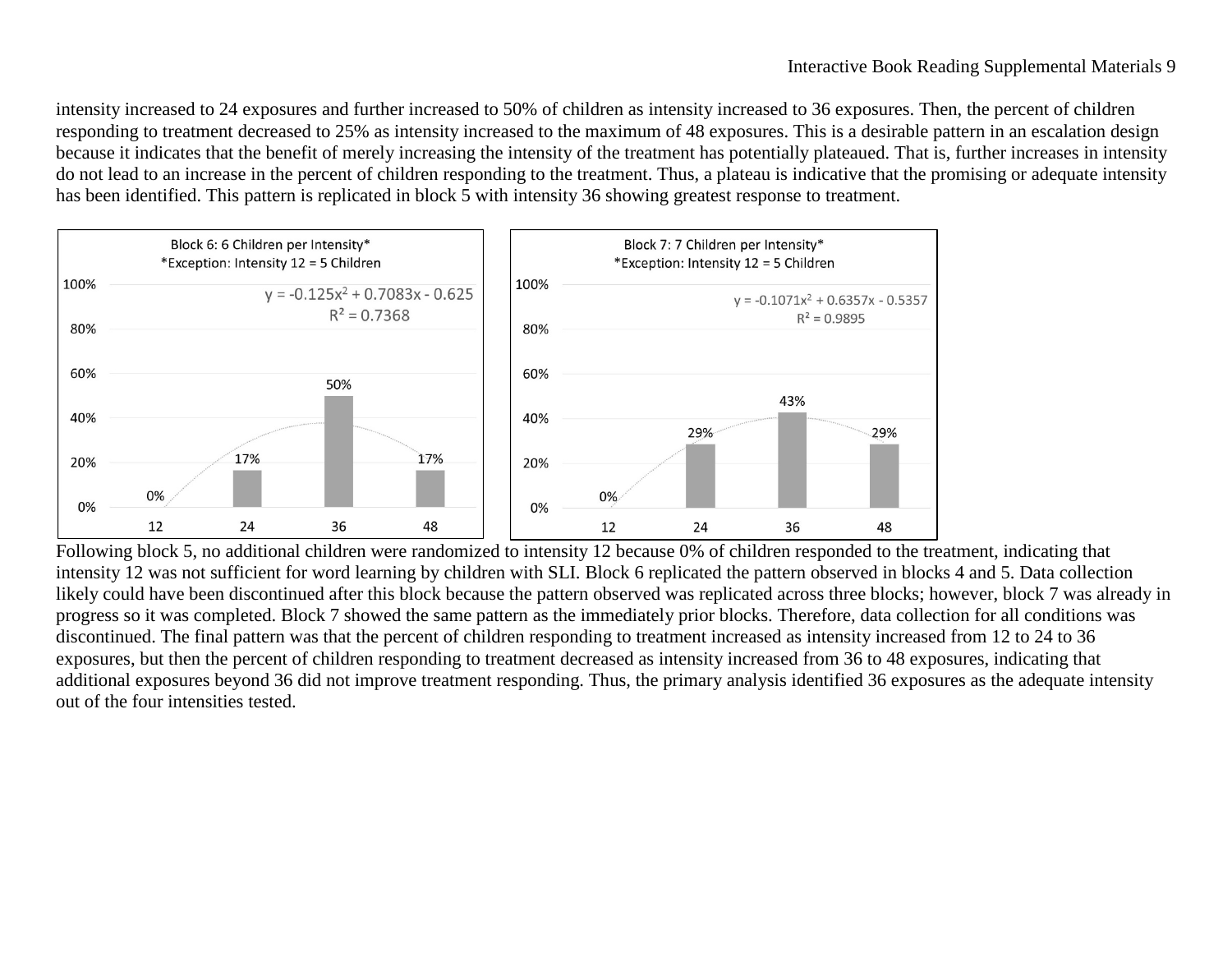intensity increased to 24 exposures and further increased to 50% of children as intensity increased to 36 exposures. Then, the percent of children responding to treatment decreased to 25% as intensity increased to the maximum of 48 exposures. This is a desirable pattern in an escalation design because it indicates that the benefit of merely increasing the intensity of the treatment has potentially plateaued. That is, further increases in intensity do not lead to an increase in the percent of children responding to the treatment. Thus, a plateau is indicative that the promising or adequate intensity has been identified. This pattern is replicated in block 5 with intensity 36 showing greatest response to treatment.



intensity 12 was not sufficient for word learning by children with SLI. Block 6 replicated the pattern observed in blocks 4 and 5. Data collection likely could have been discontinued after this block because the pattern observed was replicated across three blocks; however, block 7 was already in progress so it was completed. Block 7 showed the same pattern as the immediately prior blocks. Therefore, data collection for all conditions was discontinued. The final pattern was that the percent of children responding to treatment increased as intensity increased from 12 to 24 to 36 exposures, but then the percent of children responding to treatment decreased as intensity increased from 36 to 48 exposures, indicating that additional exposures beyond 36 did not improve treatment responding. Thus, the primary analysis identified 36 exposures as the adequate intensity out of the four intensities tested.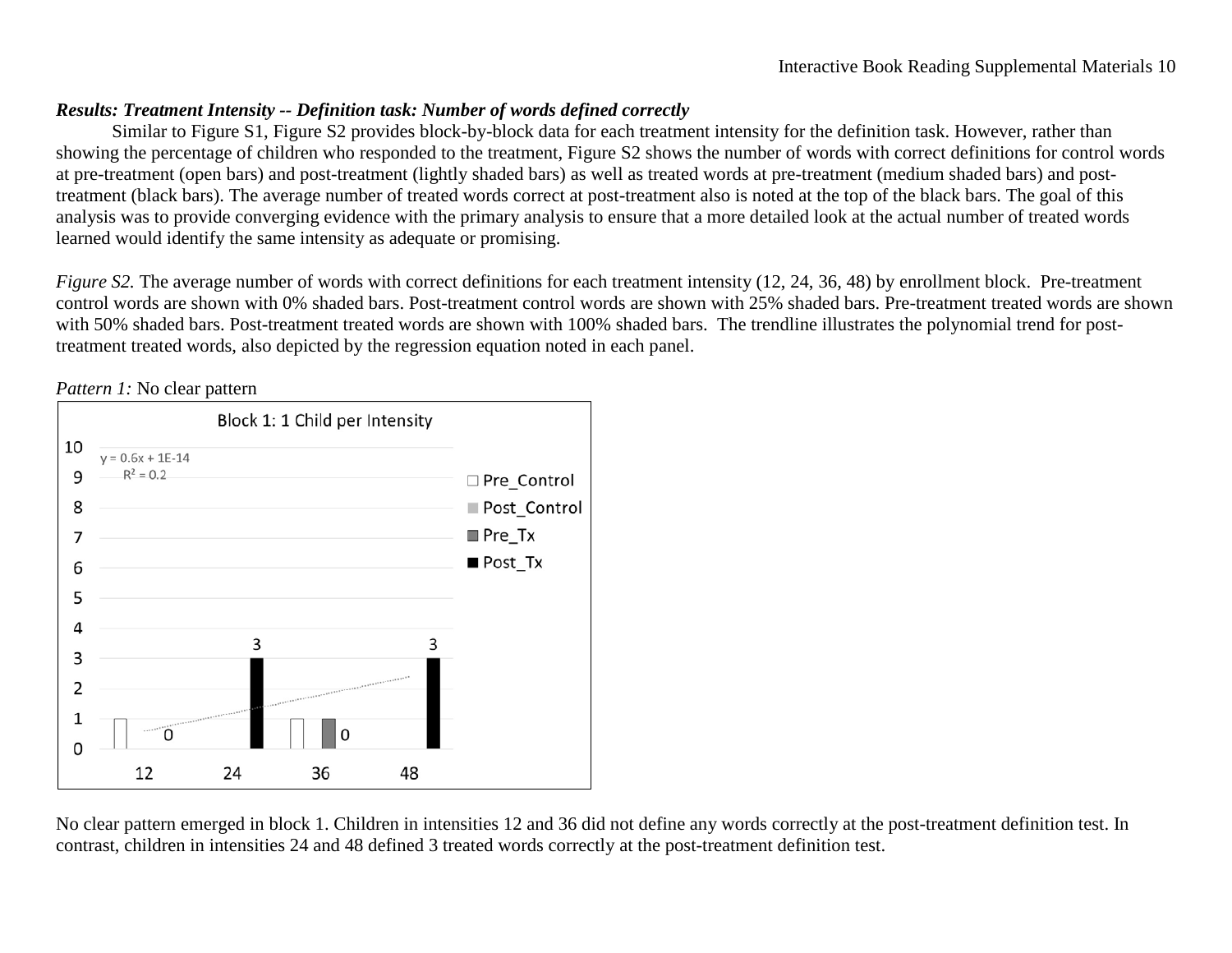## *Results: Treatment Intensity -- Definition task: Number of words defined correctly*

Similar to Figure S1, Figure S2 provides block-by-block data for each treatment intensity for the definition task. However, rather than showing the percentage of children who responded to the treatment, Figure S2 shows the number of words with correct definitions for control words at pre-treatment (open bars) and post-treatment (lightly shaded bars) as well as treated words at pre-treatment (medium shaded bars) and posttreatment (black bars). The average number of treated words correct at post-treatment also is noted at the top of the black bars. The goal of this analysis was to provide converging evidence with the primary analysis to ensure that a more detailed look at the actual number of treated words learned would identify the same intensity as adequate or promising.

*Figure S2*. The average number of words with correct definitions for each treatment intensity (12, 24, 36, 48) by enrollment block. Pre-treatment control words are shown with 0% shaded bars. Post-treatment control words are shown with 25% shaded bars. Pre-treatment treated words are shown with 50% shaded bars. Post-treatment treated words are shown with 100% shaded bars. The trendline illustrates the polynomial trend for posttreatment treated words, also depicted by the regression equation noted in each panel.



*Pattern 1:* No clear pattern

No clear pattern emerged in block 1. Children in intensities 12 and 36 did not define any words correctly at the post-treatment definition test. In contrast, children in intensities 24 and 48 defined 3 treated words correctly at the post-treatment definition test.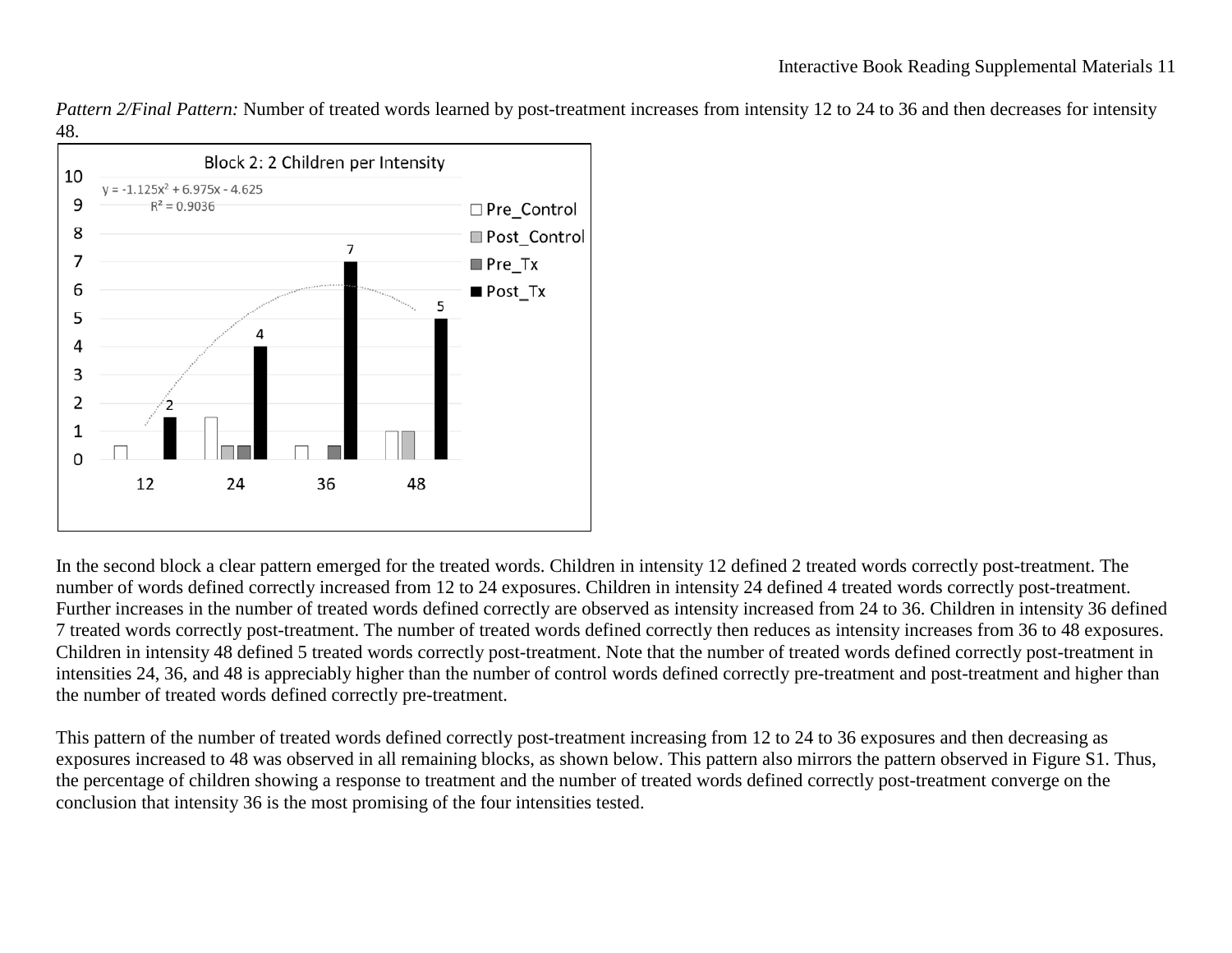*Pattern 2/Final Pattern:* Number of treated words learned by post-treatment increases from intensity 12 to 24 to 36 and then decreases for intensity 48.



In the second block a clear pattern emerged for the treated words. Children in intensity 12 defined 2 treated words correctly post-treatment. The number of words defined correctly increased from 12 to 24 exposures. Children in intensity 24 defined 4 treated words correctly post-treatment. Further increases in the number of treated words defined correctly are observed as intensity increased from 24 to 36. Children in intensity 36 defined 7 treated words correctly post-treatment. The number of treated words defined correctly then reduces as intensity increases from 36 to 48 exposures. Children in intensity 48 defined 5 treated words correctly post-treatment. Note that the number of treated words defined correctly post-treatment in intensities 24, 36, and 48 is appreciably higher than the number of control words defined correctly pre-treatment and post-treatment and higher than the number of treated words defined correctly pre-treatment.

This pattern of the number of treated words defined correctly post-treatment increasing from 12 to 24 to 36 exposures and then decreasing as exposures increased to 48 was observed in all remaining blocks, as shown below. This pattern also mirrors the pattern observed in Figure S1. Thus, the percentage of children showing a response to treatment and the number of treated words defined correctly post-treatment converge on the conclusion that intensity 36 is the most promising of the four intensities tested.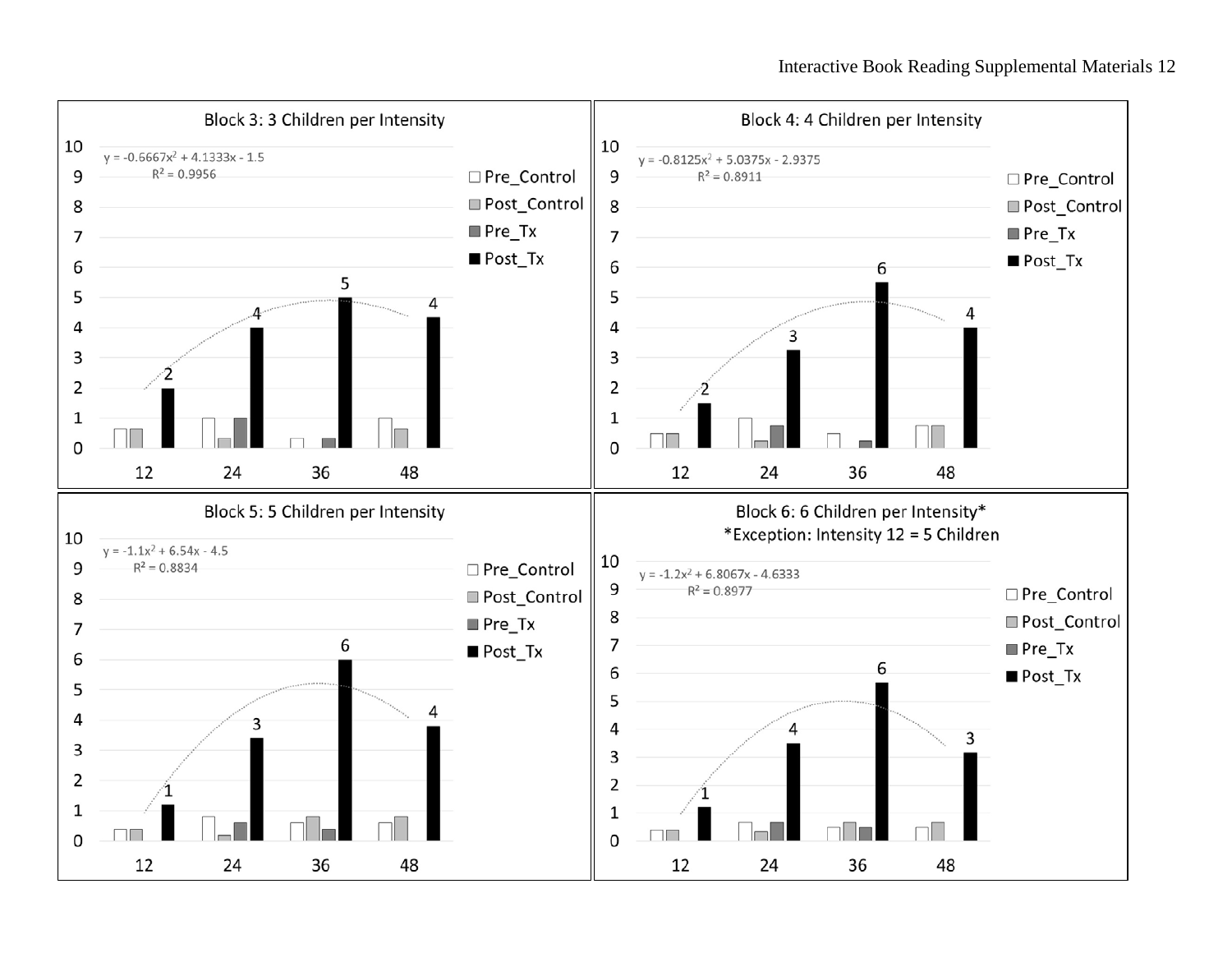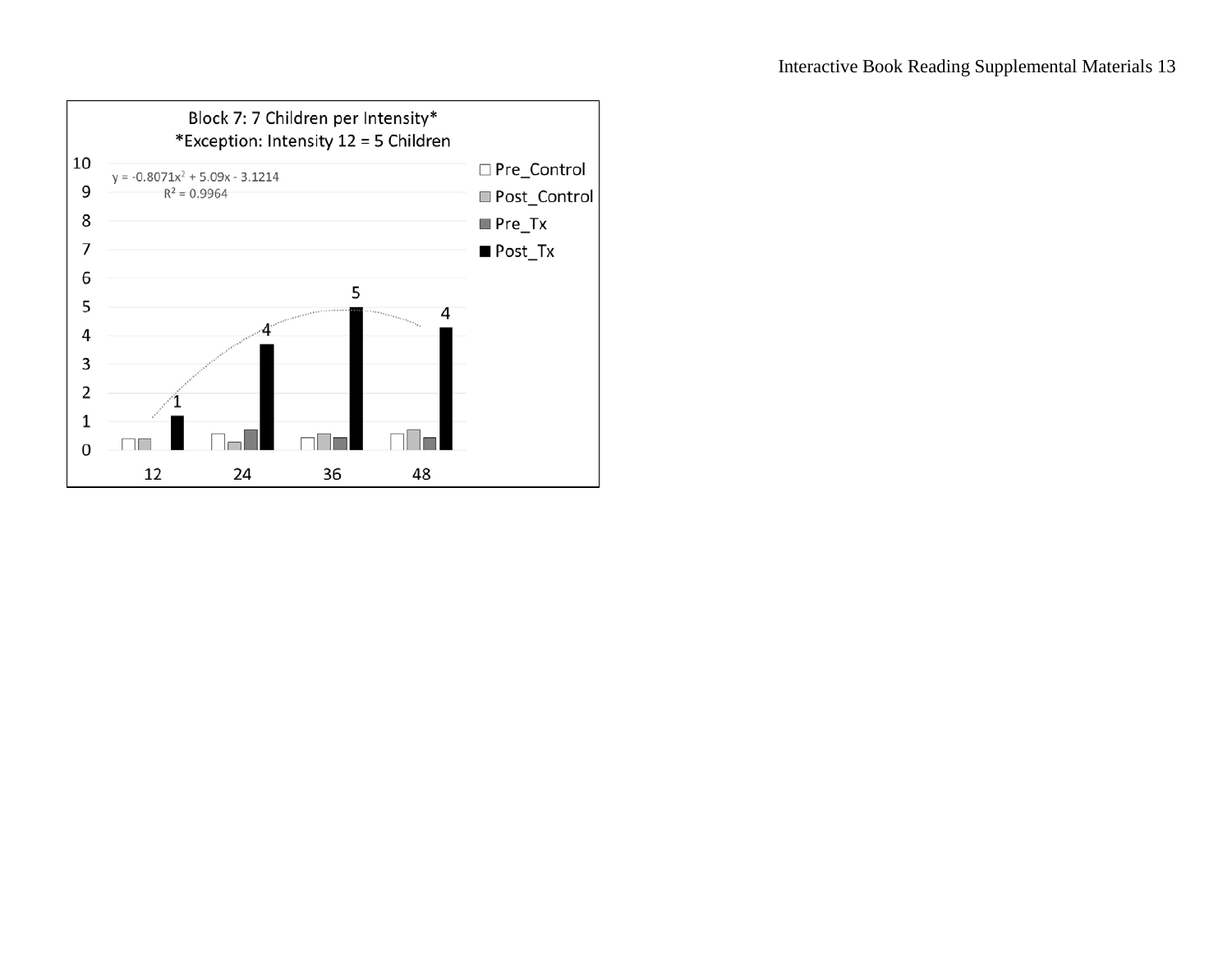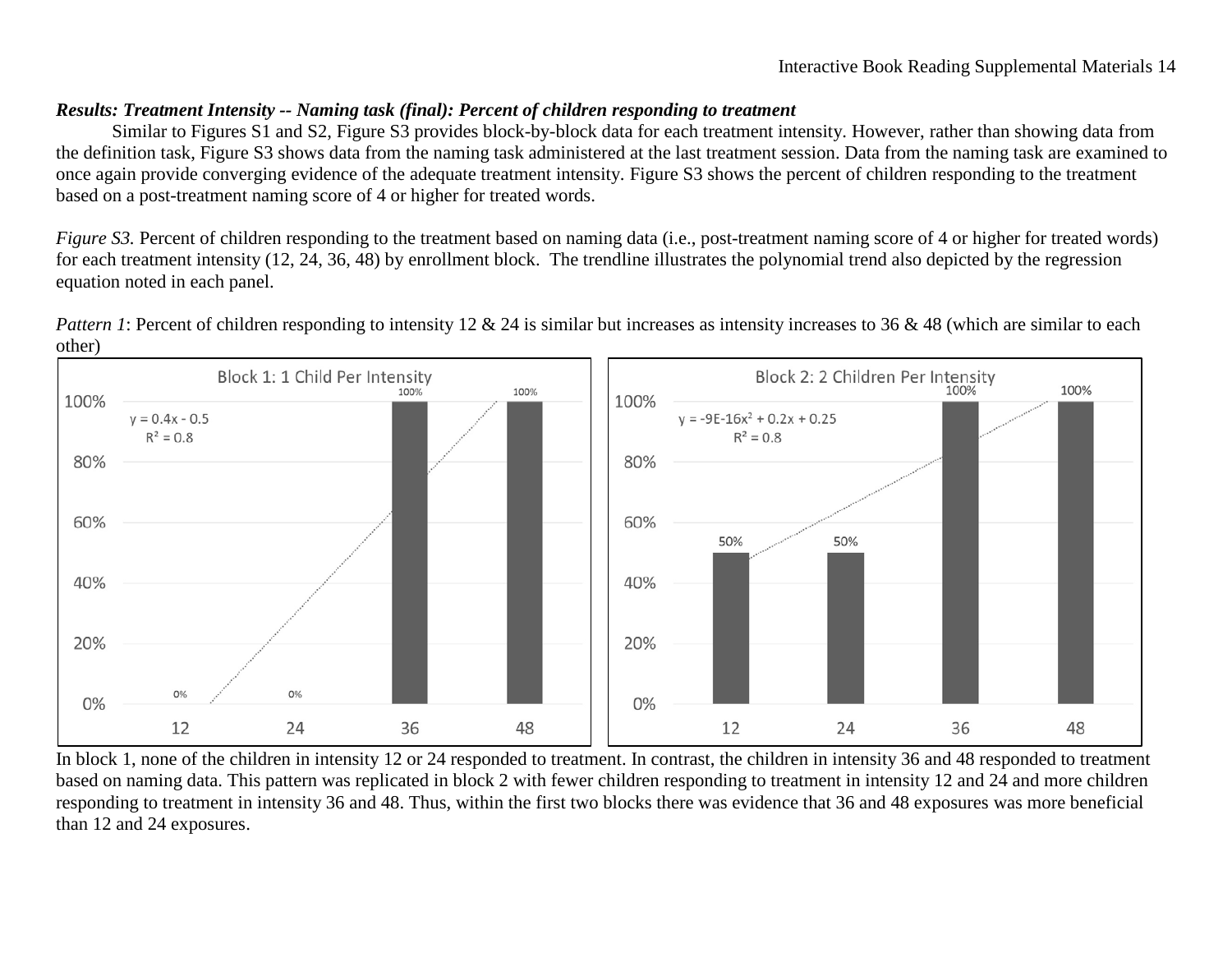## *Results: Treatment Intensity -- Naming task (final): Percent of children responding to treatment*

Similar to Figures S1 and S2, Figure S3 provides block-by-block data for each treatment intensity. However, rather than showing data from the definition task, Figure S3 shows data from the naming task administered at the last treatment session. Data from the naming task are examined to once again provide converging evidence of the adequate treatment intensity. Figure S3 shows the percent of children responding to the treatment based on a post-treatment naming score of 4 or higher for treated words.

*Figure S3*. Percent of children responding to the treatment based on naming data (i.e., post-treatment naming score of 4 or higher for treated words) for each treatment intensity (12, 24, 36, 48) by enrollment block. The trendline illustrates the polynomial trend also depicted by the regression equation noted in each panel.



*Pattern 1*: Percent of children responding to intensity 12 & 24 is similar but increases as intensity increases to 36 & 48 (which are similar to each other)

In block 1, none of the children in intensity 12 or 24 responded to treatment. In contrast, the children in intensity 36 and 48 responded to treatment based on naming data. This pattern was replicated in block 2 with fewer children responding to treatment in intensity 12 and 24 and more children responding to treatment in intensity 36 and 48. Thus, within the first two blocks there was evidence that 36 and 48 exposures was more beneficial than 12 and 24 exposures.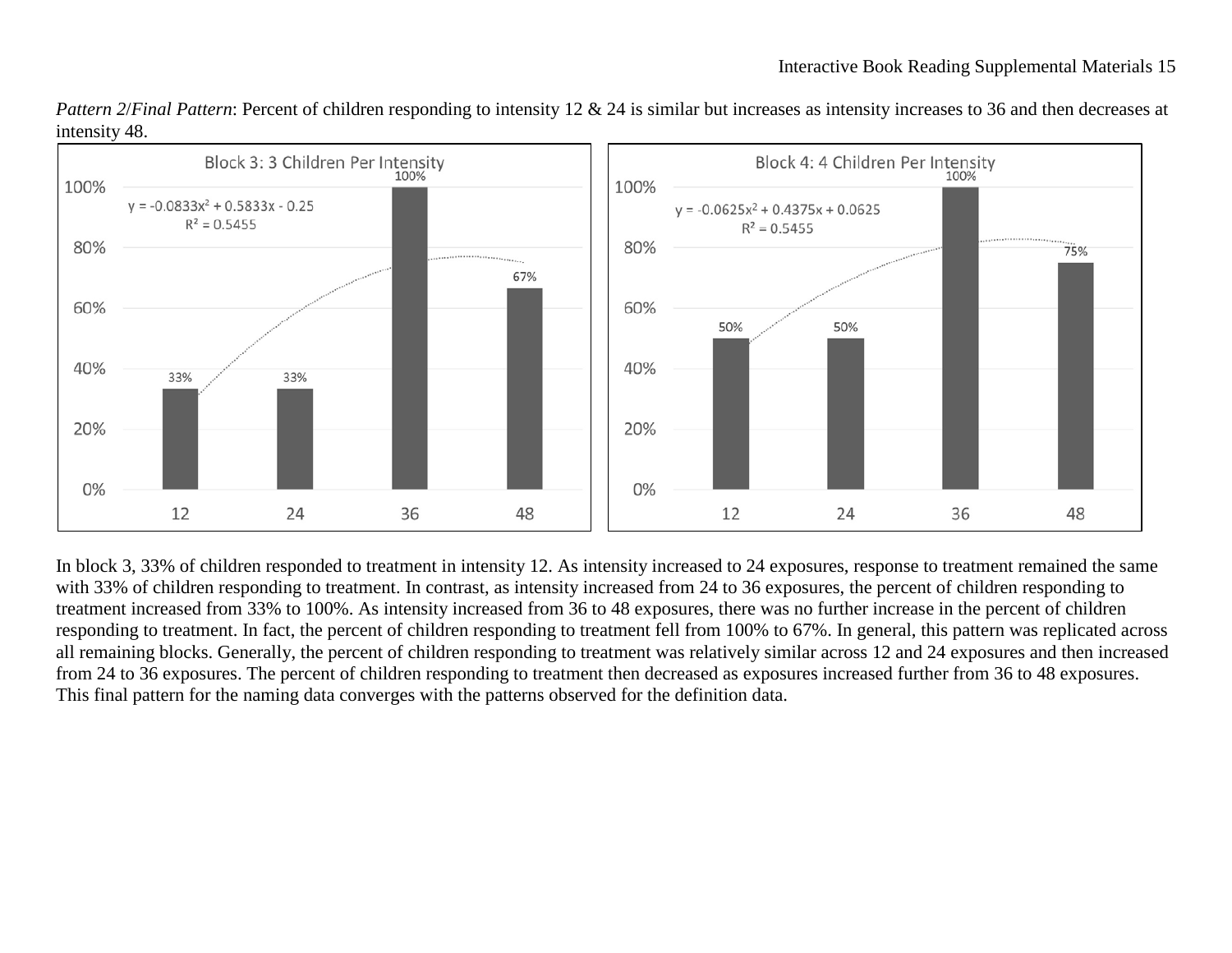

*Pattern 2/Final Pattern*: Percent of children responding to intensity 12 & 24 is similar but increases as intensity increases to 36 and then decreases at intensity 48.

In block 3, 33% of children responded to treatment in intensity 12. As intensity increased to 24 exposures, response to treatment remained the same with 33% of children responding to treatment. In contrast, as intensity increased from 24 to 36 exposures, the percent of children responding to treatment increased from 33% to 100%. As intensity increased from 36 to 48 exposures, there was no further increase in the percent of children responding to treatment. In fact, the percent of children responding to treatment fell from 100% to 67%. In general, this pattern was replicated across all remaining blocks. Generally, the percent of children responding to treatment was relatively similar across 12 and 24 exposures and then increased from 24 to 36 exposures. The percent of children responding to treatment then decreased as exposures increased further from 36 to 48 exposures. This final pattern for the naming data converges with the patterns observed for the definition data.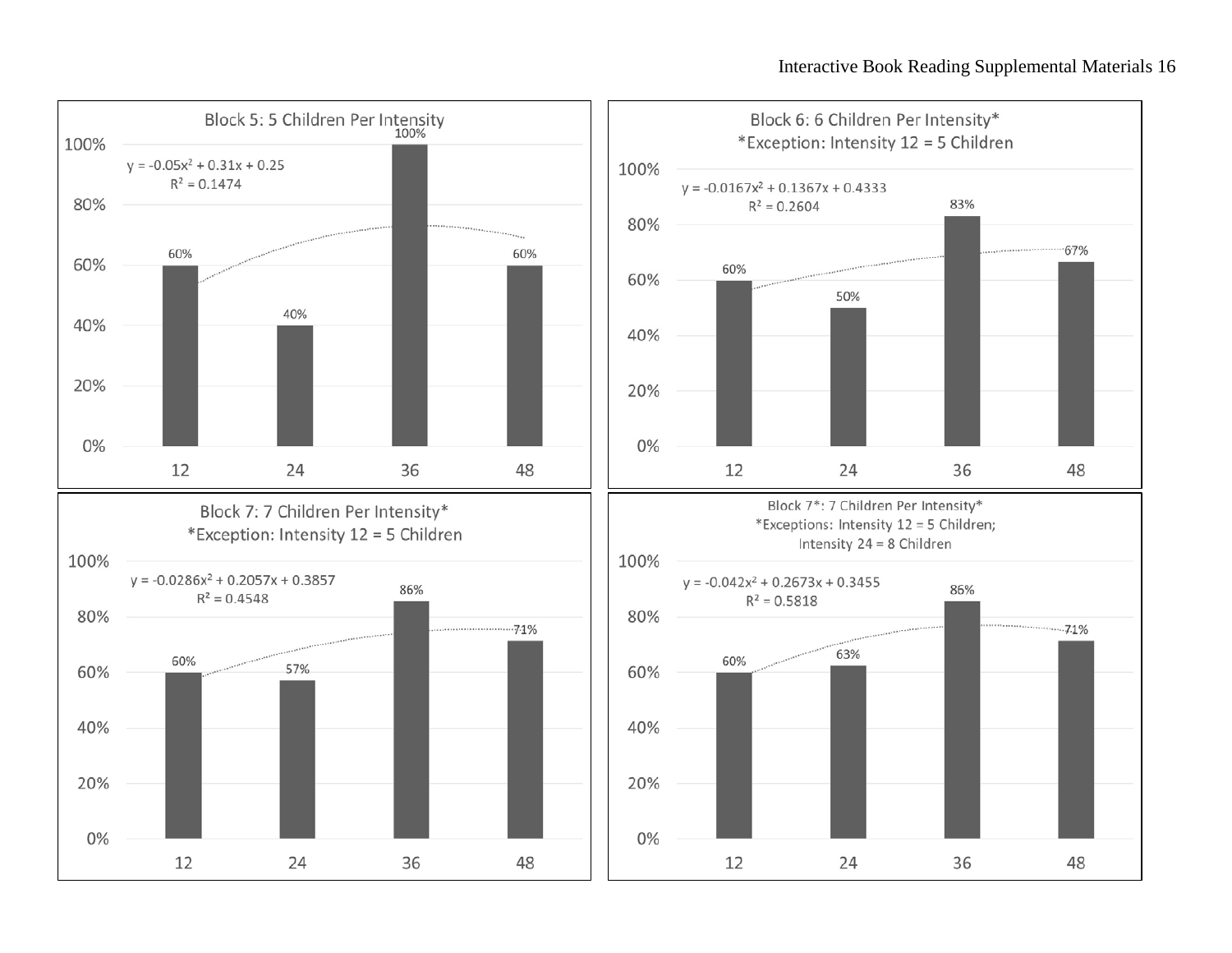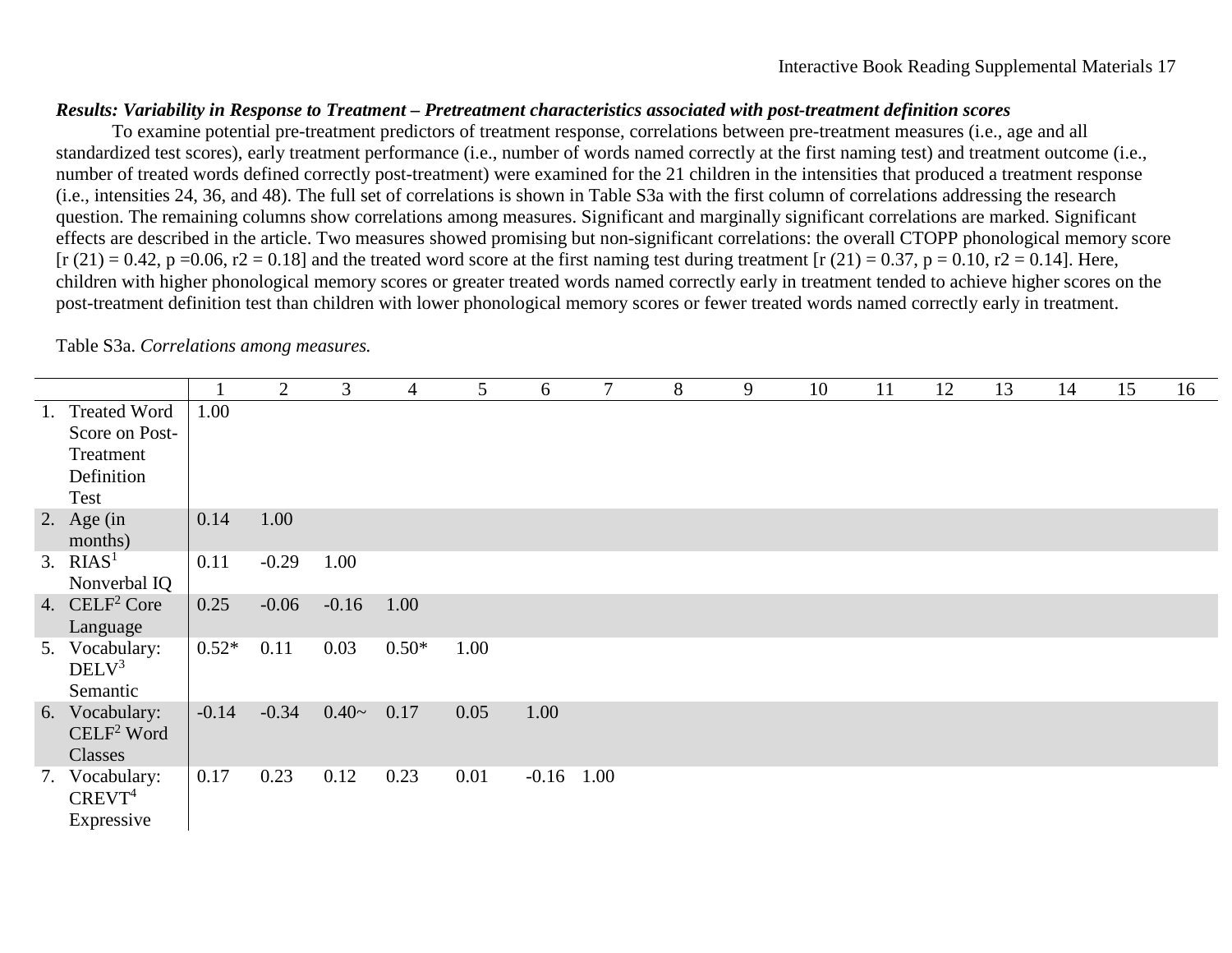## *Results: Variability in Response to Treatment – Pretreatment characteristics associated with post-treatment definition scores*

To examine potential pre-treatment predictors of treatment response, correlations between pre-treatment measures (i.e., age and all standardized test scores), early treatment performance (i.e., number of words named correctly at the first naming test) and treatment outcome (i.e., number of treated words defined correctly post-treatment) were examined for the 21 children in the intensities that produced a treatment response (i.e., intensities 24, 36, and 48). The full set of correlations is shown in Table S3a with the first column of correlations addressing the research question. The remaining columns show correlations among measures. Significant and marginally significant correlations are marked. Significant effects are described in the article. Two measures showed promising but non-significant correlations: the overall CTOPP phonological memory score  $[r (21) = 0.42, p = 0.06, r2 = 0.18]$  and the treated word score at the first naming test during treatment  $[r (21) = 0.37, p = 0.10, r2 = 0.14]$ . Here, children with higher phonological memory scores or greater treated words named correctly early in treatment tended to achieve higher scores on the post-treatment definition test than children with lower phonological memory scores or fewer treated words named correctly early in treatment.

|                           |         | 2       | 3       | $\overline{4}$ | 5    | 6       | $\overline{7}$ | 8 | 9 | 10 | 11 | 12 | 13 | 14 | 15 | 16 |
|---------------------------|---------|---------|---------|----------------|------|---------|----------------|---|---|----|----|----|----|----|----|----|
| 1. Treated Word           | 1.00    |         |         |                |      |         |                |   |   |    |    |    |    |    |    |    |
| Score on Post-            |         |         |         |                |      |         |                |   |   |    |    |    |    |    |    |    |
| Treatment                 |         |         |         |                |      |         |                |   |   |    |    |    |    |    |    |    |
| Definition                |         |         |         |                |      |         |                |   |   |    |    |    |    |    |    |    |
| Test                      |         |         |         |                |      |         |                |   |   |    |    |    |    |    |    |    |
| 2. Age $(in)$             | 0.14    | 1.00    |         |                |      |         |                |   |   |    |    |    |    |    |    |    |
| months)                   |         |         |         |                |      |         |                |   |   |    |    |    |    |    |    |    |
| 3. $RIAS1$                | 0.11    | $-0.29$ | 1.00    |                |      |         |                |   |   |    |    |    |    |    |    |    |
| Nonverbal IQ              |         |         |         |                |      |         |                |   |   |    |    |    |    |    |    |    |
| 4. CELF <sup>2</sup> Core | 0.25    | $-0.06$ | $-0.16$ | 1.00           |      |         |                |   |   |    |    |    |    |    |    |    |
| Language                  |         |         |         |                |      |         |                |   |   |    |    |    |    |    |    |    |
| 5. Vocabulary:            | $0.52*$ | 0.11    | 0.03    | $0.50*$        | 1.00 |         |                |   |   |    |    |    |    |    |    |    |
| DELV <sup>3</sup>         |         |         |         |                |      |         |                |   |   |    |    |    |    |    |    |    |
| Semantic                  |         |         |         |                |      |         |                |   |   |    |    |    |    |    |    |    |
| 6. Vocabulary:            | $-0.14$ | $-0.34$ | $0.40-$ | 0.17           | 0.05 | 1.00    |                |   |   |    |    |    |    |    |    |    |
| $\text{CELF}^2$ Word      |         |         |         |                |      |         |                |   |   |    |    |    |    |    |    |    |
| Classes                   |         |         |         |                |      |         |                |   |   |    |    |    |    |    |    |    |
| 7. Vocabulary:            | 0.17    | 0.23    | 0.12    | 0.23           | 0.01 | $-0.16$ | 1.00           |   |   |    |    |    |    |    |    |    |
| CREVT <sup>4</sup>        |         |         |         |                |      |         |                |   |   |    |    |    |    |    |    |    |
| Expressive                |         |         |         |                |      |         |                |   |   |    |    |    |    |    |    |    |

#### Table S3a. *Correlations among measures.*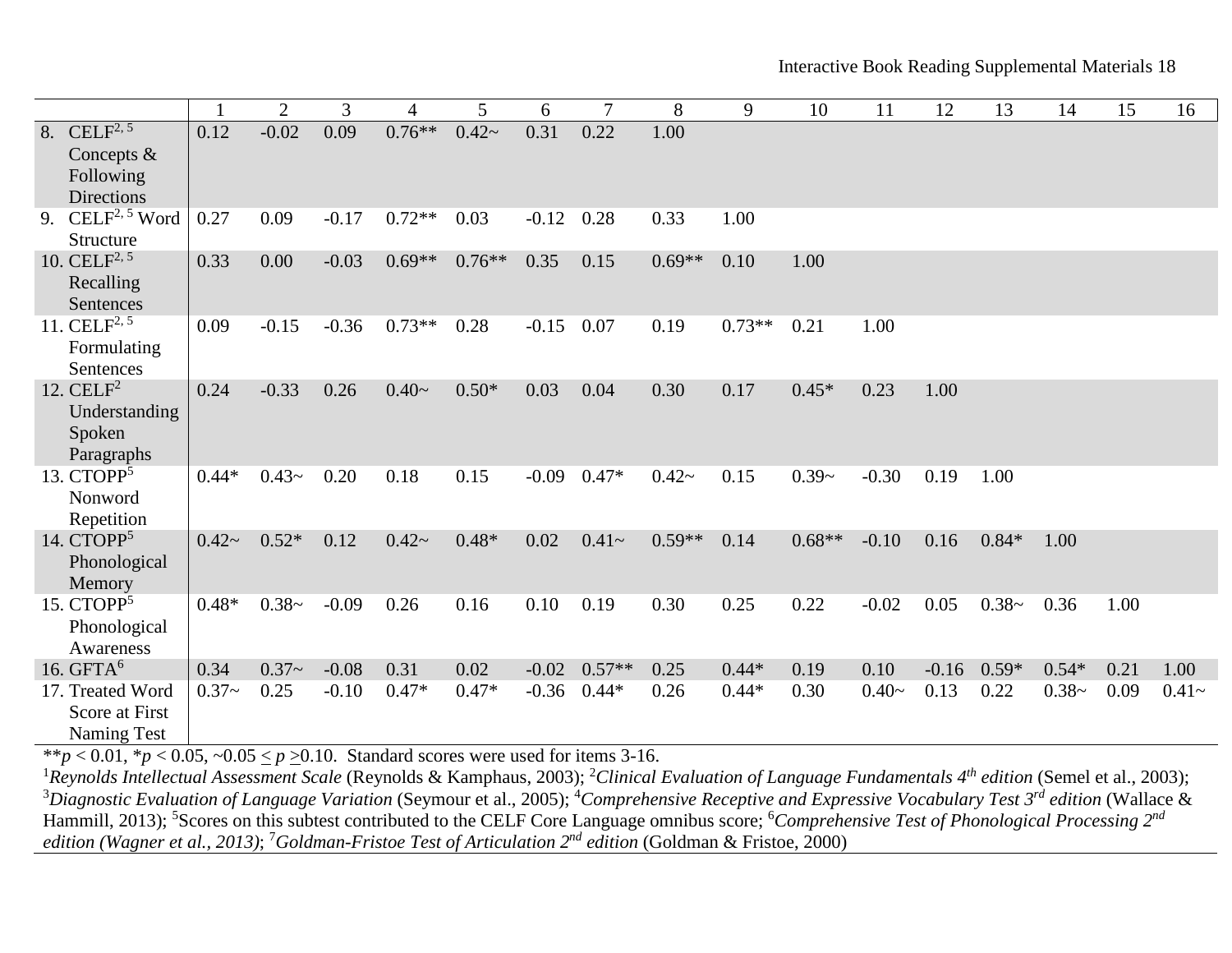|                                                                                       |         | $\overline{2}$ | 3       | 4        | 5        | 6       | 7        | 8        | 9        | 10       | 11      | 12      | 13      | 14      | 15   | 16       |
|---------------------------------------------------------------------------------------|---------|----------------|---------|----------|----------|---------|----------|----------|----------|----------|---------|---------|---------|---------|------|----------|
| $\overline{\text{CELLF}^{2,5}}$<br>8.<br>Concepts &<br>Following<br><b>Directions</b> | 0.12    | $-0.02$        | 0.09    | $0.76**$ | $0.42-$  | 0.31    | 0.22     | $1.00\,$ |          |          |         |         |         |         |      |          |
| $\text{CELF}^{2, 5}$ Word<br>9.<br><b>Structure</b>                                   | 0.27    | 0.09           | $-0.17$ | $0.72**$ | 0.03     | $-0.12$ | 0.28     | 0.33     | 1.00     |          |         |         |         |         |      |          |
| 10. CEL $F^{2, 5}$<br>Recalling<br>Sentences                                          | 0.33    | 0.00           | $-0.03$ | $0.69**$ | $0.76**$ | 0.35    | 0.15     | $0.69**$ | 0.10     | 1.00     |         |         |         |         |      |          |
| 11. CEL $F^{2,5}$<br>Formulating<br>Sentences                                         | 0.09    | $-0.15$        | $-0.36$ | $0.73**$ | 0.28     | $-0.15$ | 0.07     | 0.19     | $0.73**$ | 0.21     | 1.00    |         |         |         |      |          |
| 12. $CELF2$<br>Understanding<br>Spoken<br>Paragraphs                                  | 0.24    | $-0.33$        | 0.26    | $0.40-$  | $0.50*$  | 0.03    | 0.04     | 0.30     | 0.17     | $0.45*$  | 0.23    | 1.00    |         |         |      |          |
| 13. CTOPP <sup>5</sup><br>Nonword<br>Repetition                                       | $0.44*$ | $0.43-$        | 0.20    | 0.18     | 0.15     | $-0.09$ | $0.47*$  | $0.42-$  | 0.15     | $0.39-$  | $-0.30$ | 0.19    | 1.00    |         |      |          |
| 14. CTOPP <sup>5</sup><br>Phonological<br>Memory                                      | $0.42-$ | $0.52*$        | 0.12    | $0.42-$  | $0.48*$  | 0.02    | $0.41 -$ | $0.59**$ | 0.14     | $0.68**$ | $-0.10$ | 0.16    | $0.84*$ | 1.00    |      |          |
| 15. $CTOPP5$<br>Phonological<br>Awareness                                             | $0.48*$ | $0.38-$        | $-0.09$ | 0.26     | 0.16     | 0.10    | 0.19     | 0.30     | 0.25     | 0.22     | $-0.02$ | 0.05    | $0.38-$ | 0.36    | 1.00 |          |
| 16. $GFTA6$                                                                           | 0.34    | $0.37-$        | $-0.08$ | 0.31     | 0.02     | $-0.02$ | $0.57**$ | 0.25     | $0.44*$  | 0.19     | 0.10    | $-0.16$ | $0.59*$ | $0.54*$ | 0.21 | 1.00     |
| 17. Treated Word<br><b>Score at First</b><br><b>Naming Test</b>                       | $0.37-$ | 0.25           | $-0.10$ | $0.47*$  | $0.47*$  | $-0.36$ | $0.44*$  | 0.26     | $0.44*$  | 0.30     | $0.40-$ | 0.13    | 0.22    | $0.38-$ | 0.09 | $0.41 -$ |

\*\**p* < 0.01, \**p* < 0.05, ~0.05 < *p* > 0.10. Standard scores were used for items 3-16.

<sup>1</sup>Reynolds Intellectual Assessment Scale (Reynolds & Kamphaus, 2003); <sup>2</sup>Clinical Evaluation of Language Fundamentals 4<sup>th</sup> edition (Semel et al., 2003); <sup>3</sup>Diagnostic Evaluation of Language Variation (Seymour et al., 2005); <sup>4</sup>Comprehensive Receptive and Expressive Vocabulary Test 3<sup>rd</sup> edition (Wallace & Hammill, 2013); <sup>5</sup>Scores on this subtest contributed to the CELF Core Language omnibus score; <sup>6</sup>Comprehensive Test of Phonological Processing 2<sup>nd</sup> *edition (Wagner et al., 2013)*; 7 *Goldman-Fristoe Test of Articulation 2nd edition* (Goldman & Fristoe, 2000)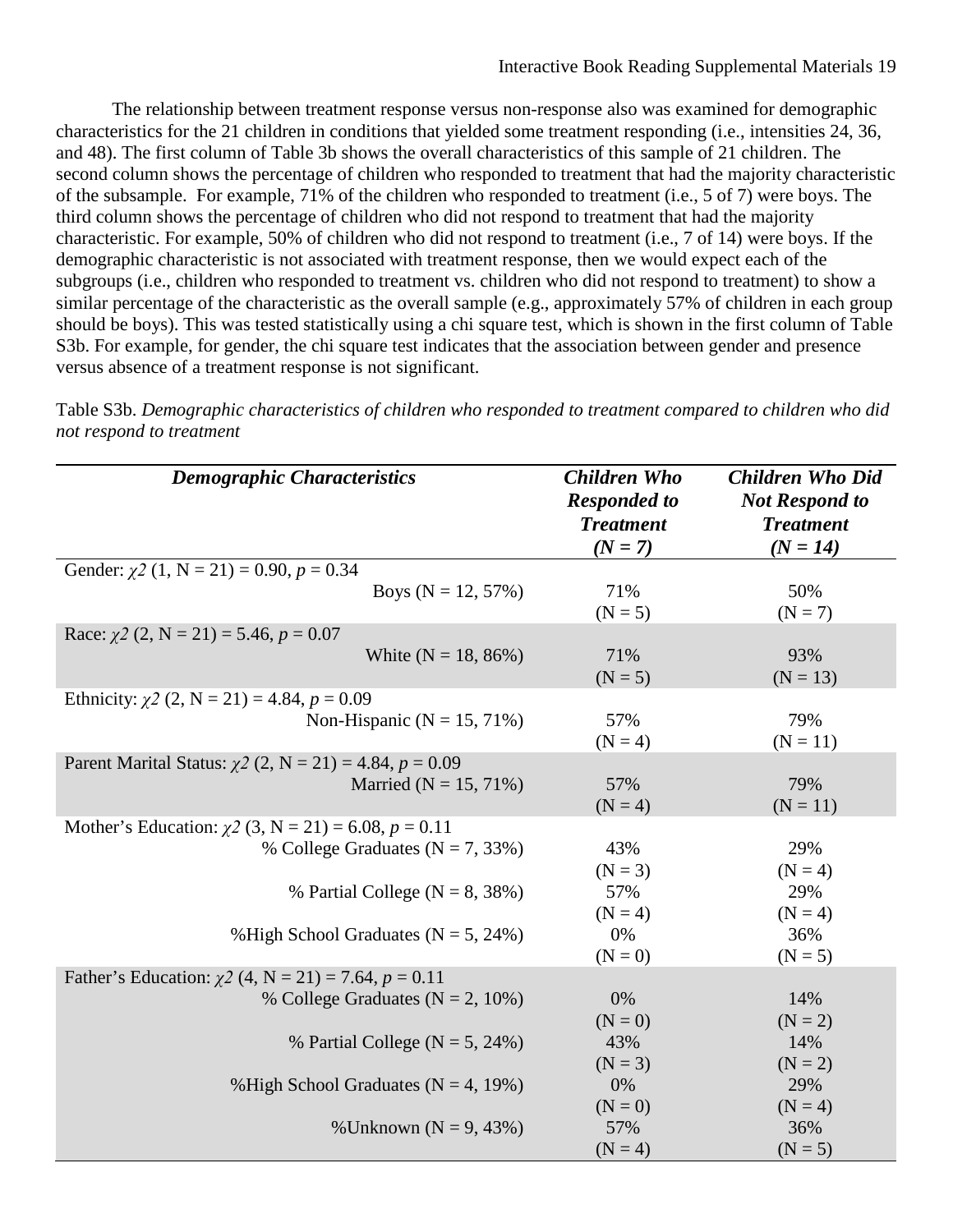The relationship between treatment response versus non-response also was examined for demographic characteristics for the 21 children in conditions that yielded some treatment responding (i.e., intensities 24, 36, and 48). The first column of Table 3b shows the overall characteristics of this sample of 21 children. The second column shows the percentage of children who responded to treatment that had the majority characteristic of the subsample. For example, 71% of the children who responded to treatment (i.e., 5 of 7) were boys. The third column shows the percentage of children who did not respond to treatment that had the majority characteristic. For example, 50% of children who did not respond to treatment (i.e., 7 of 14) were boys. If the demographic characteristic is not associated with treatment response, then we would expect each of the subgroups (i.e., children who responded to treatment vs. children who did not respond to treatment) to show a similar percentage of the characteristic as the overall sample (e.g., approximately 57% of children in each group should be boys). This was tested statistically using a chi square test, which is shown in the first column of Table S3b. For example, for gender, the chi square test indicates that the association between gender and presence versus absence of a treatment response is not significant.

*Demographic Characteristics Children Who Responded to Treatment (N = 7) Children Who Did Not Respond to Treatment (N = 14)* Gender:  $\chi^2$  (1, N = 21) = 0.90,  $p = 0.34$ Boys ( $N = 12, 57\%$ ) 71%  $(N = 5)$ 50%  $(N = 7)$ Race:  $\chi^2$  (2, N = 21) = 5.46,  $p = 0.07$ White  $(N = 18, 86\%)$  71%  $(N = 5)$ 93%  $(N = 13)$ Ethnicity:  $\chi^2$  (2, N = 21) = 4.84,  $p = 0.09$ Non-Hispanic ( $N = 15, 71\%$ ) 57%  $(N = 4)$ 79%  $(N = 11)$ Parent Marital Status: *χ2* (2, N = 21) = 4.84, *p* = 0.09 Married ( $N = 15, 71\%$ ) 57%  $(N = 4)$ 79%  $(N = 11)$ Mother's Education:  $\chi$ 2 (3, N = 21) = 6.08, *p* = 0.11 % College Graduates  $(N = 7, 33\%)$ % Partial College ( $N = 8, 38\%$ ) % High School Graduates  $(N = 5, 24\%)$ 43%  $(N = 3)$ 57%  $(N = 4)$ 0%  $(N = 0)$ 29%  $(N = 4)$ 29%  $(N = 4)$ 36%  $(N = 5)$ Father's Education:  $χ2$  (4, N = 21) = 7.64,  $p = 0.11$ % College Graduates ( $N = 2, 10\%$ ) % Partial College  $(N = 5, 24\%)$ % High School Graduates  $(N = 4, 19\%)$ % Unknown ( $N = 9, 43\%$ ) 0%  $(N = 0)$ 43%  $(N = 3)$ 0%  $(N = 0)$ 57%  $(N = 4)$ 14%  $(N = 2)$ 14%  $(N = 2)$ 29%  $(N = 4)$ 36%  $(N = 5)$ 

Table S3b. *Demographic characteristics of children who responded to treatment compared to children who did not respond to treatment*